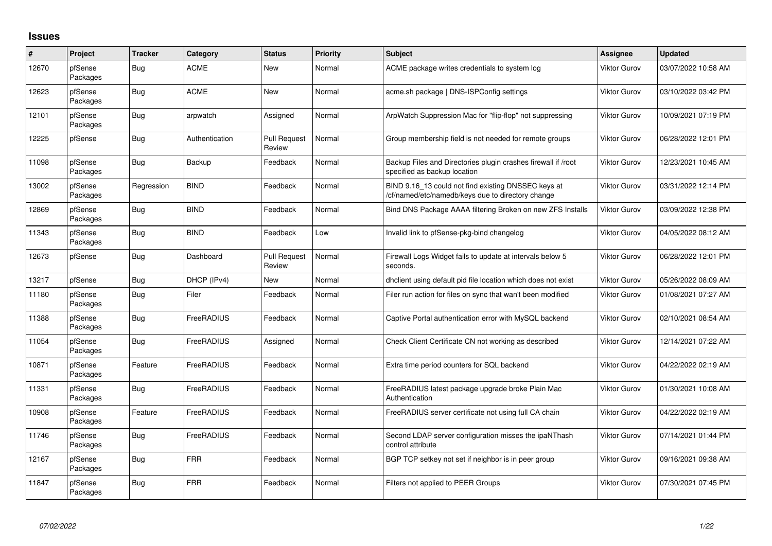## **Issues**

| #     | Project             | <b>Tracker</b> | Category       | <b>Status</b>                 | <b>Priority</b> | <b>Subject</b>                                                                                           | Assignee            | <b>Updated</b>      |
|-------|---------------------|----------------|----------------|-------------------------------|-----------------|----------------------------------------------------------------------------------------------------------|---------------------|---------------------|
| 12670 | pfSense<br>Packages | Bug            | <b>ACME</b>    | <b>New</b>                    | Normal          | ACME package writes credentials to system log                                                            | <b>Viktor Gurov</b> | 03/07/2022 10:58 AM |
| 12623 | pfSense<br>Packages | <b>Bug</b>     | <b>ACME</b>    | <b>New</b>                    | Normal          | acme.sh package   DNS-ISPConfig settings                                                                 | Viktor Gurov        | 03/10/2022 03:42 PM |
| 12101 | pfSense<br>Packages | <b>Bug</b>     | arpwatch       | Assigned                      | Normal          | ArpWatch Suppression Mac for "flip-flop" not suppressing                                                 | <b>Viktor Gurov</b> | 10/09/2021 07:19 PM |
| 12225 | pfSense             | <b>Bug</b>     | Authentication | <b>Pull Request</b><br>Review | Normal          | Group membership field is not needed for remote groups                                                   | <b>Viktor Gurov</b> | 06/28/2022 12:01 PM |
| 11098 | pfSense<br>Packages | Bug            | Backup         | Feedback                      | Normal          | Backup Files and Directories plugin crashes firewall if /root<br>specified as backup location            | <b>Viktor Gurov</b> | 12/23/2021 10:45 AM |
| 13002 | pfSense<br>Packages | Regression     | <b>BIND</b>    | Feedback                      | Normal          | BIND 9.16_13 could not find existing DNSSEC keys at<br>/cf/named/etc/namedb/keys due to directory change | Viktor Gurov        | 03/31/2022 12:14 PM |
| 12869 | pfSense<br>Packages | Bug            | <b>BIND</b>    | Feedback                      | Normal          | Bind DNS Package AAAA filtering Broken on new ZFS Installs                                               | Viktor Gurov        | 03/09/2022 12:38 PM |
| 11343 | pfSense<br>Packages | <b>Bug</b>     | <b>BIND</b>    | Feedback                      | Low             | Invalid link to pfSense-pkg-bind changelog                                                               | <b>Viktor Gurov</b> | 04/05/2022 08:12 AM |
| 12673 | pfSense             | <b>Bug</b>     | Dashboard      | <b>Pull Request</b><br>Review | Normal          | Firewall Logs Widget fails to update at intervals below 5<br>seconds.                                    | Viktor Gurov        | 06/28/2022 12:01 PM |
| 13217 | pfSense             | <b>Bug</b>     | DHCP (IPv4)    | <b>New</b>                    | Normal          | dhclient using default pid file location which does not exist                                            | <b>Viktor Gurov</b> | 05/26/2022 08:09 AM |
| 11180 | pfSense<br>Packages | Bug            | Filer          | Feedback                      | Normal          | Filer run action for files on sync that wan't been modified                                              | Viktor Gurov        | 01/08/2021 07:27 AM |
| 11388 | pfSense<br>Packages | <b>Bug</b>     | FreeRADIUS     | Feedback                      | Normal          | Captive Portal authentication error with MySQL backend                                                   | Viktor Gurov        | 02/10/2021 08:54 AM |
| 11054 | pfSense<br>Packages | <b>Bug</b>     | FreeRADIUS     | Assigned                      | Normal          | Check Client Certificate CN not working as described                                                     | <b>Viktor Gurov</b> | 12/14/2021 07:22 AM |
| 10871 | pfSense<br>Packages | Feature        | FreeRADIUS     | Feedback                      | Normal          | Extra time period counters for SQL backend                                                               | Viktor Gurov        | 04/22/2022 02:19 AM |
| 11331 | pfSense<br>Packages | <b>Bug</b>     | FreeRADIUS     | Feedback                      | Normal          | FreeRADIUS latest package upgrade broke Plain Mac<br>Authentication                                      | <b>Viktor Gurov</b> | 01/30/2021 10:08 AM |
| 10908 | pfSense<br>Packages | Feature        | FreeRADIUS     | Feedback                      | Normal          | FreeRADIUS server certificate not using full CA chain                                                    | <b>Viktor Gurov</b> | 04/22/2022 02:19 AM |
| 11746 | pfSense<br>Packages | Bug            | FreeRADIUS     | Feedback                      | Normal          | Second LDAP server configuration misses the ipaNThash<br>control attribute                               | Viktor Gurov        | 07/14/2021 01:44 PM |
| 12167 | pfSense<br>Packages | <b>Bug</b>     | <b>FRR</b>     | Feedback                      | Normal          | BGP TCP setkey not set if neighbor is in peer group                                                      | <b>Viktor Gurov</b> | 09/16/2021 09:38 AM |
| 11847 | pfSense<br>Packages | <b>Bug</b>     | <b>FRR</b>     | Feedback                      | Normal          | Filters not applied to PEER Groups                                                                       | <b>Viktor Gurov</b> | 07/30/2021 07:45 PM |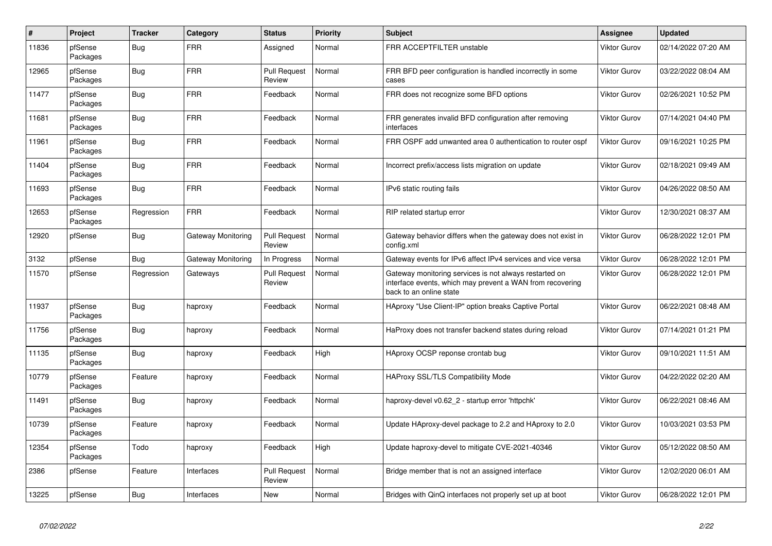| $\pmb{\sharp}$ | Project             | <b>Tracker</b> | Category           | <b>Status</b>                 | <b>Priority</b> | <b>Subject</b>                                                                                                                                 | Assignee            | <b>Updated</b>      |
|----------------|---------------------|----------------|--------------------|-------------------------------|-----------------|------------------------------------------------------------------------------------------------------------------------------------------------|---------------------|---------------------|
| 11836          | pfSense<br>Packages | Bug            | <b>FRR</b>         | Assigned                      | Normal          | FRR ACCEPTFILTER unstable                                                                                                                      | Viktor Gurov        | 02/14/2022 07:20 AM |
| 12965          | pfSense<br>Packages | Bug            | <b>FRR</b>         | <b>Pull Request</b><br>Review | Normal          | FRR BFD peer configuration is handled incorrectly in some<br>cases                                                                             | Viktor Gurov        | 03/22/2022 08:04 AM |
| 11477          | pfSense<br>Packages | <b>Bug</b>     | <b>FRR</b>         | Feedback                      | Normal          | FRR does not recognize some BFD options                                                                                                        | Viktor Gurov        | 02/26/2021 10:52 PM |
| 11681          | pfSense<br>Packages | Bug            | <b>FRR</b>         | Feedback                      | Normal          | FRR generates invalid BFD configuration after removing<br>interfaces                                                                           | Viktor Gurov        | 07/14/2021 04:40 PM |
| 11961          | pfSense<br>Packages | Bug            | <b>FRR</b>         | Feedback                      | Normal          | FRR OSPF add unwanted area 0 authentication to router ospf                                                                                     | Viktor Gurov        | 09/16/2021 10:25 PM |
| 11404          | pfSense<br>Packages | <b>Bug</b>     | <b>FRR</b>         | Feedback                      | Normal          | Incorrect prefix/access lists migration on update                                                                                              | Viktor Gurov        | 02/18/2021 09:49 AM |
| 11693          | pfSense<br>Packages | Bug            | <b>FRR</b>         | Feedback                      | Normal          | IPv6 static routing fails                                                                                                                      | Viktor Gurov        | 04/26/2022 08:50 AM |
| 12653          | pfSense<br>Packages | Regression     | <b>FRR</b>         | Feedback                      | Normal          | RIP related startup error                                                                                                                      | <b>Viktor Gurov</b> | 12/30/2021 08:37 AM |
| 12920          | pfSense             | <b>Bug</b>     | Gateway Monitoring | <b>Pull Request</b><br>Review | Normal          | Gateway behavior differs when the gateway does not exist in<br>config.xml                                                                      | Viktor Gurov        | 06/28/2022 12:01 PM |
| 3132           | pfSense             | Bug            | Gateway Monitoring | In Progress                   | Normal          | Gateway events for IPv6 affect IPv4 services and vice versa                                                                                    | Viktor Gurov        | 06/28/2022 12:01 PM |
| 11570          | pfSense             | Regression     | Gateways           | <b>Pull Request</b><br>Review | Normal          | Gateway monitoring services is not always restarted on<br>interface events, which may prevent a WAN from recovering<br>back to an online state | Viktor Gurov        | 06/28/2022 12:01 PM |
| 11937          | pfSense<br>Packages | <b>Bug</b>     | haproxy            | Feedback                      | Normal          | HAproxy "Use Client-IP" option breaks Captive Portal                                                                                           | Viktor Gurov        | 06/22/2021 08:48 AM |
| 11756          | pfSense<br>Packages | Bug            | haproxy            | Feedback                      | Normal          | HaProxy does not transfer backend states during reload                                                                                         | Viktor Gurov        | 07/14/2021 01:21 PM |
| 11135          | pfSense<br>Packages | Bug            | haproxy            | Feedback                      | High            | HAproxy OCSP reponse crontab bug                                                                                                               | Viktor Gurov        | 09/10/2021 11:51 AM |
| 10779          | pfSense<br>Packages | Feature        | haproxy            | Feedback                      | Normal          | <b>HAProxy SSL/TLS Compatibility Mode</b>                                                                                                      | Viktor Gurov        | 04/22/2022 02:20 AM |
| 11491          | pfSense<br>Packages | Bug            | haproxy            | Feedback                      | Normal          | haproxy-devel v0.62 2 - startup error 'httpchk'                                                                                                | Viktor Gurov        | 06/22/2021 08:46 AM |
| 10739          | pfSense<br>Packages | Feature        | haproxy            | Feedback                      | Normal          | Update HAproxy-devel package to 2.2 and HAproxy to 2.0                                                                                         | Viktor Gurov        | 10/03/2021 03:53 PM |
| 12354          | pfSense<br>Packages | Todo           | haproxy            | Feedback                      | High            | Update haproxy-devel to mitigate CVE-2021-40346                                                                                                | Viktor Gurov        | 05/12/2022 08:50 AM |
| 2386           | pfSense             | Feature        | Interfaces         | <b>Pull Request</b><br>Review | Normal          | Bridge member that is not an assigned interface                                                                                                | Viktor Gurov        | 12/02/2020 06:01 AM |
| 13225          | pfSense             | Bug            | Interfaces         | <b>New</b>                    | Normal          | Bridges with QinQ interfaces not properly set up at boot                                                                                       | <b>Viktor Gurov</b> | 06/28/2022 12:01 PM |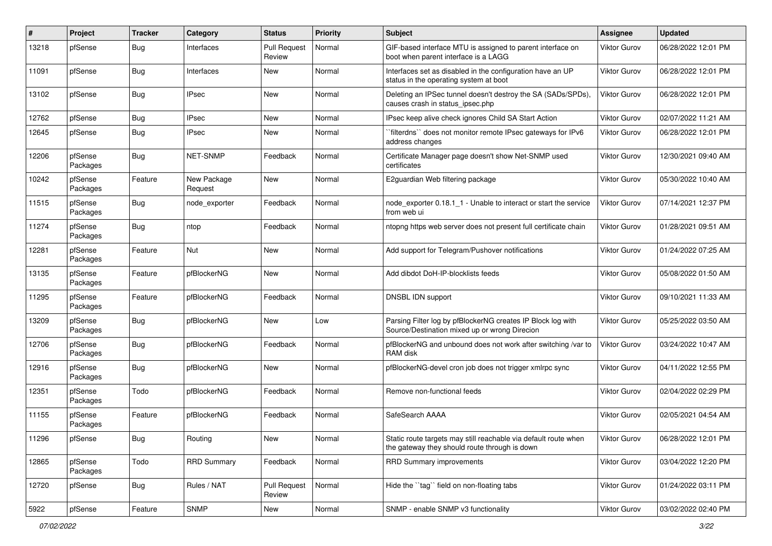| $\#$  | Project             | Tracker    | Category               | <b>Status</b>                 | Priority | <b>Subject</b>                                                                                                   | <b>Assignee</b>     | <b>Updated</b>      |
|-------|---------------------|------------|------------------------|-------------------------------|----------|------------------------------------------------------------------------------------------------------------------|---------------------|---------------------|
| 13218 | pfSense             | <b>Bug</b> | Interfaces             | <b>Pull Request</b><br>Review | Normal   | GIF-based interface MTU is assigned to parent interface on<br>boot when parent interface is a LAGG               | Viktor Gurov        | 06/28/2022 12:01 PM |
| 11091 | pfSense             | Bug        | Interfaces             | New                           | Normal   | Interfaces set as disabled in the configuration have an UP<br>status in the operating system at boot             | <b>Viktor Gurov</b> | 06/28/2022 12:01 PM |
| 13102 | pfSense             | <b>Bug</b> | <b>IPsec</b>           | New                           | Normal   | Deleting an IPSec tunnel doesn't destroy the SA (SADs/SPDs),<br>causes crash in status_ipsec.php                 | Viktor Gurov        | 06/28/2022 12:01 PM |
| 12762 | pfSense             | Bug        | <b>IPsec</b>           | New                           | Normal   | IPsec keep alive check ignores Child SA Start Action                                                             | <b>Viktor Gurov</b> | 02/07/2022 11:21 AM |
| 12645 | pfSense             | <b>Bug</b> | <b>IPsec</b>           | New                           | Normal   | `filterdns`` does not monitor remote IPsec gateways for IPv6<br>address changes                                  | Viktor Gurov        | 06/28/2022 12:01 PM |
| 12206 | pfSense<br>Packages | <b>Bug</b> | NET-SNMP               | Feedback                      | Normal   | Certificate Manager page doesn't show Net-SNMP used<br>certificates                                              | <b>Viktor Gurov</b> | 12/30/2021 09:40 AM |
| 10242 | pfSense<br>Packages | Feature    | New Package<br>Request | New                           | Normal   | E2guardian Web filtering package                                                                                 | Viktor Gurov        | 05/30/2022 10:40 AM |
| 11515 | pfSense<br>Packages | Bug        | node exporter          | Feedback                      | Normal   | node exporter 0.18.1 1 - Unable to interact or start the service<br>from web ui                                  | Viktor Gurov        | 07/14/2021 12:37 PM |
| 11274 | pfSense<br>Packages | <b>Bug</b> | ntop                   | Feedback                      | Normal   | ntopng https web server does not present full certificate chain                                                  | Viktor Gurov        | 01/28/2021 09:51 AM |
| 12281 | pfSense<br>Packages | Feature    | Nut                    | New                           | Normal   | Add support for Telegram/Pushover notifications                                                                  | <b>Viktor Gurov</b> | 01/24/2022 07:25 AM |
| 13135 | pfSense<br>Packages | Feature    | pfBlockerNG            | <b>New</b>                    | Normal   | Add dibdot DoH-IP-blocklists feeds                                                                               | <b>Viktor Gurov</b> | 05/08/2022 01:50 AM |
| 11295 | pfSense<br>Packages | Feature    | pfBlockerNG            | Feedback                      | Normal   | DNSBL IDN support                                                                                                | <b>Viktor Gurov</b> | 09/10/2021 11:33 AM |
| 13209 | pfSense<br>Packages | <b>Bug</b> | pfBlockerNG            | New                           | Low      | Parsing Filter log by pfBlockerNG creates IP Block log with<br>Source/Destination mixed up or wrong Direcion     | <b>Viktor Gurov</b> | 05/25/2022 03:50 AM |
| 12706 | pfSense<br>Packages | Bug        | pfBlockerNG            | Feedback                      | Normal   | pfBlockerNG and unbound does not work after switching /var to<br>RAM disk                                        | <b>Viktor Gurov</b> | 03/24/2022 10:47 AM |
| 12916 | pfSense<br>Packages | <b>Bug</b> | pfBlockerNG            | New                           | Normal   | pfBlockerNG-devel cron job does not trigger xmlrpc sync                                                          | Viktor Gurov        | 04/11/2022 12:55 PM |
| 12351 | pfSense<br>Packages | Todo       | pfBlockerNG            | Feedback                      | Normal   | Remove non-functional feeds                                                                                      | Viktor Gurov        | 02/04/2022 02:29 PM |
| 11155 | pfSense<br>Packages | Feature    | pfBlockerNG            | Feedback                      | Normal   | SafeSearch AAAA                                                                                                  | <b>Viktor Gurov</b> | 02/05/2021 04:54 AM |
| 11296 | pfSense             | Bug        | Routing                | New                           | Normal   | Static route targets may still reachable via default route when<br>the gateway they should route through is down | <b>Viktor Gurov</b> | 06/28/2022 12:01 PM |
| 12865 | pfSense<br>Packages | Todo       | <b>RRD Summary</b>     | Feedback                      | Normal   | RRD Summary improvements                                                                                         | Viktor Gurov        | 03/04/2022 12:20 PM |
| 12720 | pfSense             | <b>Bug</b> | Rules / NAT            | <b>Pull Request</b><br>Review | Normal   | Hide the "tag" field on non-floating tabs                                                                        | Viktor Gurov        | 01/24/2022 03:11 PM |
| 5922  | pfSense             | Feature    | <b>SNMP</b>            | New                           | Normal   | SNMP - enable SNMP v3 functionality                                                                              | <b>Viktor Gurov</b> | 03/02/2022 02:40 PM |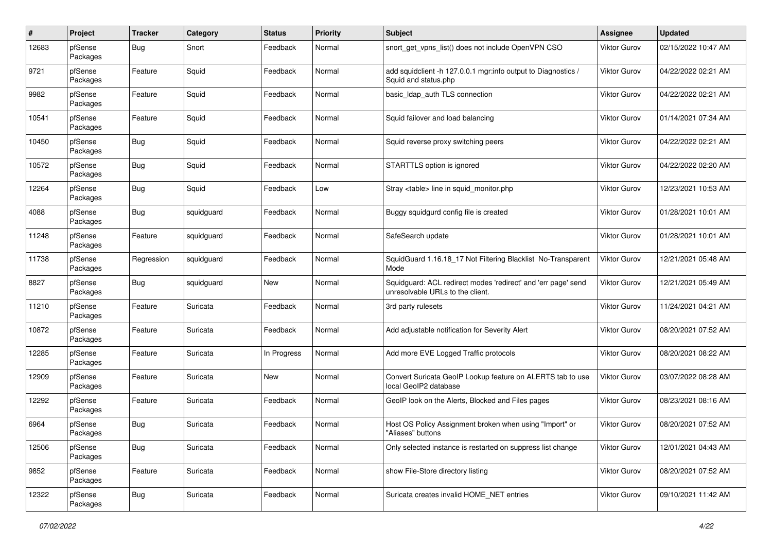| #     | Project             | <b>Tracker</b> | Category   | <b>Status</b> | <b>Priority</b> | <b>Subject</b>                                                                                    | <b>Assignee</b>     | <b>Updated</b>      |
|-------|---------------------|----------------|------------|---------------|-----------------|---------------------------------------------------------------------------------------------------|---------------------|---------------------|
| 12683 | pfSense<br>Packages | Bug            | Snort      | Feedback      | Normal          | snort get vpns list() does not include OpenVPN CSO                                                | Viktor Gurov        | 02/15/2022 10:47 AM |
| 9721  | pfSense<br>Packages | Feature        | Squid      | Feedback      | Normal          | add squidclient -h 127.0.0.1 mgr:info output to Diagnostics /<br>Squid and status.php             | Viktor Gurov        | 04/22/2022 02:21 AM |
| 9982  | pfSense<br>Packages | Feature        | Squid      | Feedback      | Normal          | basic Idap auth TLS connection                                                                    | Viktor Gurov        | 04/22/2022 02:21 AM |
| 10541 | pfSense<br>Packages | Feature        | Squid      | Feedback      | Normal          | Squid failover and load balancing                                                                 | Viktor Gurov        | 01/14/2021 07:34 AM |
| 10450 | pfSense<br>Packages | <b>Bug</b>     | Squid      | Feedback      | Normal          | Squid reverse proxy switching peers                                                               | Viktor Gurov        | 04/22/2022 02:21 AM |
| 10572 | pfSense<br>Packages | <b>Bug</b>     | Squid      | Feedback      | Normal          | STARTTLS option is ignored                                                                        | <b>Viktor Gurov</b> | 04/22/2022 02:20 AM |
| 12264 | pfSense<br>Packages | <b>Bug</b>     | Squid      | Feedback      | Low             | Stray <table> line in squid monitor.php</table>                                                   | <b>Viktor Gurov</b> | 12/23/2021 10:53 AM |
| 4088  | pfSense<br>Packages | <b>Bug</b>     | squidguard | Feedback      | Normal          | Buggy squidgurd config file is created                                                            | <b>Viktor Gurov</b> | 01/28/2021 10:01 AM |
| 11248 | pfSense<br>Packages | Feature        | squidguard | Feedback      | Normal          | SafeSearch update                                                                                 | Viktor Gurov        | 01/28/2021 10:01 AM |
| 11738 | pfSense<br>Packages | Regression     | squidguard | Feedback      | Normal          | SquidGuard 1.16.18_17 Not Filtering Blacklist No-Transparent<br>Mode                              | Viktor Gurov        | 12/21/2021 05:48 AM |
| 8827  | pfSense<br>Packages | <b>Bug</b>     | squidguard | New           | Normal          | Squidguard: ACL redirect modes 'redirect' and 'err page' send<br>unresolvable URLs to the client. | Viktor Gurov        | 12/21/2021 05:49 AM |
| 11210 | pfSense<br>Packages | Feature        | Suricata   | Feedback      | Normal          | 3rd party rulesets                                                                                | Viktor Gurov        | 11/24/2021 04:21 AM |
| 10872 | pfSense<br>Packages | Feature        | Suricata   | Feedback      | Normal          | Add adjustable notification for Severity Alert                                                    | <b>Viktor Gurov</b> | 08/20/2021 07:52 AM |
| 12285 | pfSense<br>Packages | Feature        | Suricata   | In Progress   | Normal          | Add more EVE Logged Traffic protocols                                                             | Viktor Gurov        | 08/20/2021 08:22 AM |
| 12909 | pfSense<br>Packages | Feature        | Suricata   | New           | Normal          | Convert Suricata GeoIP Lookup feature on ALERTS tab to use<br>local GeoIP2 database               | Viktor Gurov        | 03/07/2022 08:28 AM |
| 12292 | pfSense<br>Packages | Feature        | Suricata   | Feedback      | Normal          | GeoIP look on the Alerts, Blocked and Files pages                                                 | Viktor Gurov        | 08/23/2021 08:16 AM |
| 6964  | pfSense<br>Packages | <b>Bug</b>     | Suricata   | Feedback      | Normal          | Host OS Policy Assignment broken when using "Import" or<br>"Aliases" buttons                      | <b>Viktor Gurov</b> | 08/20/2021 07:52 AM |
| 12506 | pfSense<br>Packages | <b>Bug</b>     | Suricata   | Feedback      | Normal          | Only selected instance is restarted on suppress list change                                       | <b>Viktor Gurov</b> | 12/01/2021 04:43 AM |
| 9852  | pfSense<br>Packages | Feature        | Suricata   | Feedback      | Normal          | show File-Store directory listing                                                                 | <b>Viktor Gurov</b> | 08/20/2021 07:52 AM |
| 12322 | pfSense<br>Packages | <b>Bug</b>     | Suricata   | Feedback      | Normal          | Suricata creates invalid HOME NET entries                                                         | Viktor Gurov        | 09/10/2021 11:42 AM |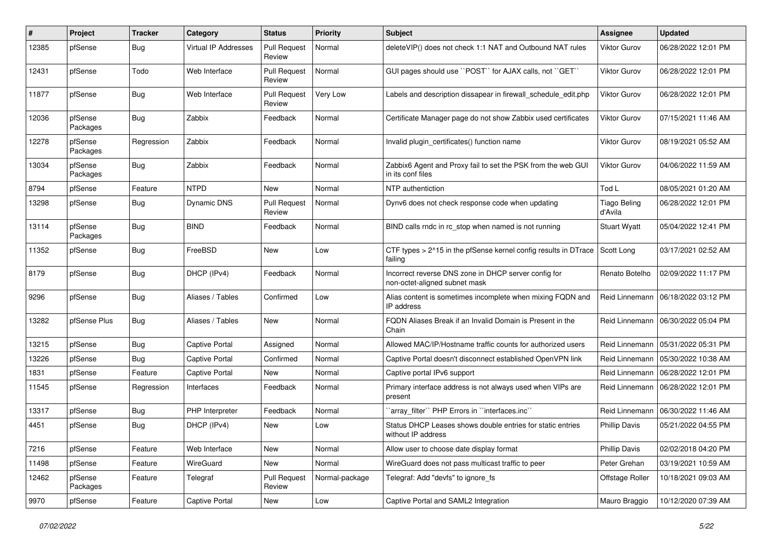| #     | Project             | <b>Tracker</b> | Category                    | <b>Status</b>                 | <b>Priority</b> | <b>Subject</b>                                                                        | <b>Assignee</b>                | <b>Updated</b>      |
|-------|---------------------|----------------|-----------------------------|-------------------------------|-----------------|---------------------------------------------------------------------------------------|--------------------------------|---------------------|
| 12385 | pfSense             | <b>Bug</b>     | <b>Virtual IP Addresses</b> | <b>Pull Request</b><br>Review | Normal          | deleteVIP() does not check 1:1 NAT and Outbound NAT rules                             | Viktor Gurov                   | 06/28/2022 12:01 PM |
| 12431 | pfSense             | Todo           | Web Interface               | <b>Pull Request</b><br>Review | Normal          | GUI pages should use "POST" for AJAX calls, not "GET"                                 | Viktor Gurov                   | 06/28/2022 12:01 PM |
| 11877 | pfSense             | <b>Bug</b>     | Web Interface               | <b>Pull Request</b><br>Review | Very Low        | Labels and description dissapear in firewall schedule edit.php                        | Viktor Gurov                   | 06/28/2022 12:01 PM |
| 12036 | pfSense<br>Packages | <b>Bug</b>     | Zabbix                      | Feedback                      | Normal          | Certificate Manager page do not show Zabbix used certificates                         | Viktor Gurov                   | 07/15/2021 11:46 AM |
| 12278 | pfSense<br>Packages | Regression     | Zabbix                      | Feedback                      | Normal          | Invalid plugin certificates() function name                                           | Viktor Gurov                   | 08/19/2021 05:52 AM |
| 13034 | pfSense<br>Packages | Bug            | Zabbix                      | Feedback                      | Normal          | Zabbix6 Agent and Proxy fail to set the PSK from the web GUI<br>in its conf files     | <b>Viktor Gurov</b>            | 04/06/2022 11:59 AM |
| 8794  | pfSense             | Feature        | <b>NTPD</b>                 | <b>New</b>                    | Normal          | NTP authentiction                                                                     | Tod L                          | 08/05/2021 01:20 AM |
| 13298 | pfSense             | <b>Bug</b>     | Dynamic DNS                 | <b>Pull Request</b><br>Review | Normal          | Dynv6 does not check response code when updating                                      | <b>Tiago Beling</b><br>d'Avila | 06/28/2022 12:01 PM |
| 13114 | pfSense<br>Packages | <b>Bug</b>     | <b>BIND</b>                 | Feedback                      | Normal          | BIND calls rndc in rc_stop when named is not running                                  | <b>Stuart Wyatt</b>            | 05/04/2022 12:41 PM |
| 11352 | pfSense             | <b>Bug</b>     | FreeBSD                     | New                           | Low             | CTF types > 2^15 in the pfSense kernel config results in DTrace<br>failing            | Scott Long                     | 03/17/2021 02:52 AM |
| 8179  | pfSense             | Bug            | DHCP (IPv4)                 | Feedback                      | Normal          | Incorrect reverse DNS zone in DHCP server config for<br>non-octet-aligned subnet mask | Renato Botelho                 | 02/09/2022 11:17 PM |
| 9296  | pfSense             | <b>Bug</b>     | Aliases / Tables            | Confirmed                     | Low             | Alias content is sometimes incomplete when mixing FQDN and<br>IP address              | Reid Linnemann                 | 06/18/2022 03:12 PM |
| 13282 | pfSense Plus        | Bug            | Aliases / Tables            | <b>New</b>                    | Normal          | FQDN Aliases Break if an Invalid Domain is Present in the<br>Chain                    | Reid Linnemann                 | 06/30/2022 05:04 PM |
| 13215 | pfSense             | <b>Bug</b>     | <b>Captive Portal</b>       | Assigned                      | Normal          | Allowed MAC/IP/Hostname traffic counts for authorized users                           | Reid Linnemann                 | 05/31/2022 05:31 PM |
| 13226 | pfSense             | <b>Bug</b>     | Captive Portal              | Confirmed                     | Normal          | Captive Portal doesn't disconnect established OpenVPN link                            | Reid Linnemann                 | 05/30/2022 10:38 AM |
| 1831  | pfSense             | Feature        | Captive Portal              | New                           | Normal          | Captive portal IPv6 support                                                           | Reid Linnemann                 | 06/28/2022 12:01 PM |
| 11545 | pfSense             | Regression     | Interfaces                  | Feedback                      | Normal          | Primary interface address is not always used when VIPs are<br>present                 | Reid Linnemann                 | 06/28/2022 12:01 PM |
| 13317 | pfSense             | <b>Bug</b>     | PHP Interpreter             | Feedback                      | Normal          | 'array_filter'' PHP Errors in "interfaces.inc"                                        | Reid Linnemann                 | 06/30/2022 11:46 AM |
| 4451  | pfSense             | <b>Bug</b>     | DHCP (IPv4)                 | New                           | Low             | Status DHCP Leases shows double entries for static entries<br>without IP address      | <b>Phillip Davis</b>           | 05/21/2022 04:55 PM |
| 7216  | pfSense             | Feature        | Web Interface               | New                           | Normal          | Allow user to choose date display format                                              | <b>Phillip Davis</b>           | 02/02/2018 04:20 PM |
| 11498 | pfSense             | Feature        | WireGuard                   | New                           | Normal          | WireGuard does not pass multicast traffic to peer                                     | Peter Grehan                   | 03/19/2021 10:59 AM |
| 12462 | pfSense<br>Packages | Feature        | Telegraf                    | <b>Pull Request</b><br>Review | Normal-package  | Telegraf: Add "devfs" to ignore fs                                                    | Offstage Roller                | 10/18/2021 09:03 AM |
| 9970  | pfSense             | Feature        | <b>Captive Portal</b>       | New                           | Low             | Captive Portal and SAML2 Integration                                                  | Mauro Braggio                  | 10/12/2020 07:39 AM |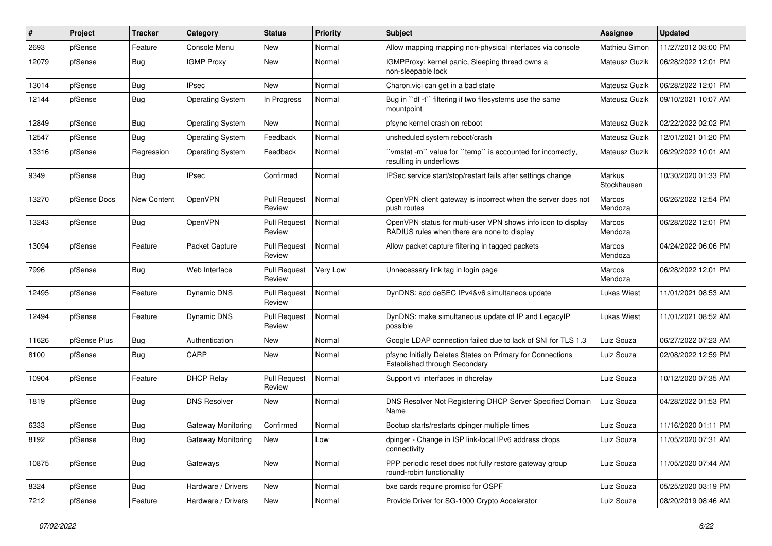| #     | Project      | Tracker     | Category                | <b>Status</b>                 | <b>Priority</b> | <b>Subject</b>                                                                                              | Assignee              | <b>Updated</b>      |
|-------|--------------|-------------|-------------------------|-------------------------------|-----------------|-------------------------------------------------------------------------------------------------------------|-----------------------|---------------------|
| 2693  | pfSense      | Feature     | Console Menu            | New                           | Normal          | Allow mapping mapping non-physical interfaces via console                                                   | <b>Mathieu Simon</b>  | 11/27/2012 03:00 PM |
| 12079 | pfSense      | <b>Bug</b>  | <b>IGMP Proxy</b>       | New                           | Normal          | IGMPProxy: kernel panic, Sleeping thread owns a<br>non-sleepable lock                                       | Mateusz Guzik         | 06/28/2022 12:01 PM |
| 13014 | pfSense      | Bug         | <b>IPsec</b>            | New                           | Normal          | Charon.vici can get in a bad state                                                                          | Mateusz Guzik         | 06/28/2022 12:01 PM |
| 12144 | pfSense      | <b>Bug</b>  | <b>Operating System</b> | In Progress                   | Normal          | Bug in "df -t" filtering if two filesystems use the same<br>mountpoint                                      | <b>Mateusz Guzik</b>  | 09/10/2021 10:07 AM |
| 12849 | pfSense      | Bug         | <b>Operating System</b> | New                           | Normal          | pfsync kernel crash on reboot                                                                               | Mateusz Guzik         | 02/22/2022 02:02 PM |
| 12547 | pfSense      | Bug         | <b>Operating System</b> | Feedback                      | Normal          | unsheduled system reboot/crash                                                                              | Mateusz Guzik         | 12/01/2021 01:20 PM |
| 13316 | pfSense      | Regression  | <b>Operating System</b> | Feedback                      | Normal          | 'vmstat-m'' value for "temp" is accounted for incorrectly,<br>resulting in underflows                       | Mateusz Guzik         | 06/29/2022 10:01 AM |
| 9349  | pfSense      | <b>Bug</b>  | <b>IPsec</b>            | Confirmed                     | Normal          | IPSec service start/stop/restart fails after settings change                                                | Markus<br>Stockhausen | 10/30/2020 01:33 PM |
| 13270 | pfSense Docs | New Content | OpenVPN                 | Pull Request<br>Review        | Normal          | OpenVPN client gateway is incorrect when the server does not<br>push routes                                 | Marcos<br>Mendoza     | 06/26/2022 12:54 PM |
| 13243 | pfSense      | <b>Bug</b>  | OpenVPN                 | <b>Pull Request</b><br>Review | Normal          | OpenVPN status for multi-user VPN shows info icon to display<br>RADIUS rules when there are none to display | Marcos<br>Mendoza     | 06/28/2022 12:01 PM |
| 13094 | pfSense      | Feature     | Packet Capture          | <b>Pull Request</b><br>Review | Normal          | Allow packet capture filtering in tagged packets                                                            | Marcos<br>Mendoza     | 04/24/2022 06:06 PM |
| 7996  | pfSense      | <b>Bug</b>  | Web Interface           | <b>Pull Request</b><br>Review | Very Low        | Unnecessary link tag in login page                                                                          | Marcos<br>Mendoza     | 06/28/2022 12:01 PM |
| 12495 | pfSense      | Feature     | Dynamic DNS             | <b>Pull Request</b><br>Review | Normal          | DynDNS: add deSEC IPv4&v6 simultaneos update                                                                | <b>Lukas Wiest</b>    | 11/01/2021 08:53 AM |
| 12494 | pfSense      | Feature     | Dynamic DNS             | <b>Pull Request</b><br>Review | Normal          | DynDNS: make simultaneous update of IP and LegacyIP<br>possible                                             | Lukas Wiest           | 11/01/2021 08:52 AM |
| 11626 | pfSense Plus | <b>Bug</b>  | Authentication          | New                           | Normal          | Google LDAP connection failed due to lack of SNI for TLS 1.3                                                | Luiz Souza            | 06/27/2022 07:23 AM |
| 8100  | pfSense      | <b>Bug</b>  | CARP                    | New                           | Normal          | pfsync Initially Deletes States on Primary for Connections<br>Established through Secondary                 | Luiz Souza            | 02/08/2022 12:59 PM |
| 10904 | pfSense      | Feature     | <b>DHCP Relay</b>       | <b>Pull Request</b><br>Review | Normal          | Support vti interfaces in dhcrelay                                                                          | Luiz Souza            | 10/12/2020 07:35 AM |
| 1819  | pfSense      | Bug         | <b>DNS Resolver</b>     | New                           | Normal          | DNS Resolver Not Registering DHCP Server Specified Domain<br>Name                                           | Luiz Souza            | 04/28/2022 01:53 PM |
| 6333  | pfSense      | Bug         | Gateway Monitoring      | Confirmed                     | Normal          | Bootup starts/restarts dpinger multiple times                                                               | Luiz Souza            | 11/16/2020 01:11 PM |
| 8192  | pfSense      | Bug         | Gateway Monitoring      | New                           | Low             | dpinger - Change in ISP link-local IPv6 address drops<br>connectivity                                       | Luiz Souza            | 11/05/2020 07:31 AM |
| 10875 | pfSense      | Bug         | Gateways                | New                           | Normal          | PPP periodic reset does not fully restore gateway group<br>round-robin functionality                        | Luiz Souza            | 11/05/2020 07:44 AM |
| 8324  | pfSense      | <b>Bug</b>  | Hardware / Drivers      | New                           | Normal          | bxe cards require promisc for OSPF                                                                          | Luiz Souza            | 05/25/2020 03:19 PM |
| 7212  | pfSense      | Feature     | Hardware / Drivers      | New                           | Normal          | Provide Driver for SG-1000 Crypto Accelerator                                                               | Luiz Souza            | 08/20/2019 08:46 AM |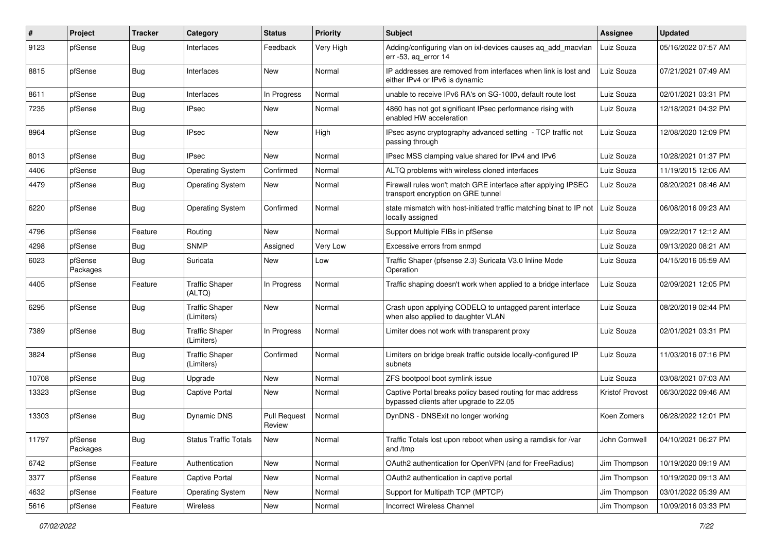| $\#$  | Project             | Tracker    | Category                            | <b>Status</b>                 | Priority  | <b>Subject</b>                                                                                        | <b>Assignee</b>        | <b>Updated</b>      |
|-------|---------------------|------------|-------------------------------------|-------------------------------|-----------|-------------------------------------------------------------------------------------------------------|------------------------|---------------------|
| 9123  | pfSense             | <b>Bug</b> | Interfaces                          | Feedback                      | Very High | Adding/configuring vlan on ixl-devices causes aq_add_macvlan<br>err -53, ag error 14                  | Luiz Souza             | 05/16/2022 07:57 AM |
| 8815  | pfSense             | Bug        | Interfaces                          | New                           | Normal    | IP addresses are removed from interfaces when link is lost and<br>either IPv4 or IPv6 is dynamic      | Luiz Souza             | 07/21/2021 07:49 AM |
| 8611  | pfSense             | <b>Bug</b> | Interfaces                          | In Progress                   | Normal    | unable to receive IPv6 RA's on SG-1000, default route lost                                            | Luiz Souza             | 02/01/2021 03:31 PM |
| 7235  | pfSense             | <b>Bug</b> | <b>IPsec</b>                        | New                           | Normal    | 4860 has not got significant IPsec performance rising with<br>enabled HW acceleration                 | Luiz Souza             | 12/18/2021 04:32 PM |
| 8964  | pfSense             | <b>Bug</b> | IPsec                               | <b>New</b>                    | High      | IPsec async cryptography advanced setting - TCP traffic not<br>passing through                        | Luiz Souza             | 12/08/2020 12:09 PM |
| 8013  | pfSense             | <b>Bug</b> | <b>IPsec</b>                        | New                           | Normal    | IPsec MSS clamping value shared for IPv4 and IPv6                                                     | Luiz Souza             | 10/28/2021 01:37 PM |
| 4406  | pfSense             | <b>Bug</b> | <b>Operating System</b>             | Confirmed                     | Normal    | ALTQ problems with wireless cloned interfaces                                                         | Luiz Souza             | 11/19/2015 12:06 AM |
| 4479  | pfSense             | <b>Bug</b> | <b>Operating System</b>             | New                           | Normal    | Firewall rules won't match GRE interface after applying IPSEC<br>transport encryption on GRE tunnel   | Luiz Souza             | 08/20/2021 08:46 AM |
| 6220  | pfSense             | <b>Bug</b> | <b>Operating System</b>             | Confirmed                     | Normal    | state mismatch with host-initiated traffic matching binat to IP not<br>locally assigned               | Luiz Souza             | 06/08/2016 09:23 AM |
| 4796  | pfSense             | Feature    | Routing                             | New                           | Normal    | Support Multiple FIBs in pfSense                                                                      | Luiz Souza             | 09/22/2017 12:12 AM |
| 4298  | pfSense             | <b>Bug</b> | <b>SNMP</b>                         | Assigned                      | Very Low  | Excessive errors from snmpd                                                                           | Luiz Souza             | 09/13/2020 08:21 AM |
| 6023  | pfSense<br>Packages | <b>Bug</b> | Suricata                            | New                           | Low       | Traffic Shaper (pfsense 2.3) Suricata V3.0 Inline Mode<br>Operation                                   | Luiz Souza             | 04/15/2016 05:59 AM |
| 4405  | pfSense             | Feature    | <b>Traffic Shaper</b><br>(ALTQ)     | In Progress                   | Normal    | Traffic shaping doesn't work when applied to a bridge interface                                       | Luiz Souza             | 02/09/2021 12:05 PM |
| 6295  | pfSense             | <b>Bug</b> | <b>Traffic Shaper</b><br>(Limiters) | New                           | Normal    | Crash upon applying CODELQ to untagged parent interface<br>when also applied to daughter VLAN         | Luiz Souza             | 08/20/2019 02:44 PM |
| 7389  | pfSense             | <b>Bug</b> | <b>Traffic Shaper</b><br>(Limiters) | In Progress                   | Normal    | Limiter does not work with transparent proxy                                                          | Luiz Souza             | 02/01/2021 03:31 PM |
| 3824  | pfSense             | <b>Bug</b> | <b>Traffic Shaper</b><br>(Limiters) | Confirmed                     | Normal    | Limiters on bridge break traffic outside locally-configured IP<br>subnets                             | Luiz Souza             | 11/03/2016 07:16 PM |
| 10708 | pfSense             | <b>Bug</b> | Upgrade                             | New                           | Normal    | ZFS bootpool boot symlink issue                                                                       | Luiz Souza             | 03/08/2021 07:03 AM |
| 13323 | pfSense             | <b>Bug</b> | <b>Captive Portal</b>               | New                           | Normal    | Captive Portal breaks policy based routing for mac address<br>bypassed clients after upgrade to 22.05 | <b>Kristof Provost</b> | 06/30/2022 09:46 AM |
| 13303 | pfSense             | <b>Bug</b> | Dynamic DNS                         | <b>Pull Request</b><br>Review | Normal    | DynDNS - DNSExit no longer working                                                                    | Koen Zomers            | 06/28/2022 12:01 PM |
| 11797 | pfSense<br>Packages | <b>Bug</b> | <b>Status Traffic Totals</b>        | New                           | Normal    | Traffic Totals lost upon reboot when using a ramdisk for /var<br>and /tmp                             | John Cornwell          | 04/10/2021 06:27 PM |
| 6742  | pfSense             | Feature    | Authentication                      | New                           | Normal    | OAuth2 authentication for OpenVPN (and for FreeRadius)                                                | Jim Thompson           | 10/19/2020 09:19 AM |
| 3377  | pfSense             | Feature    | Captive Portal                      | New                           | Normal    | OAuth2 authentication in captive portal                                                               | Jim Thompson           | 10/19/2020 09:13 AM |
| 4632  | pfSense             | Feature    | <b>Operating System</b>             | New                           | Normal    | Support for Multipath TCP (MPTCP)                                                                     | Jim Thompson           | 03/01/2022 05:39 AM |
| 5616  | pfSense             | Feature    | Wireless                            | New                           | Normal    | Incorrect Wireless Channel                                                                            | Jim Thompson           | 10/09/2016 03:33 PM |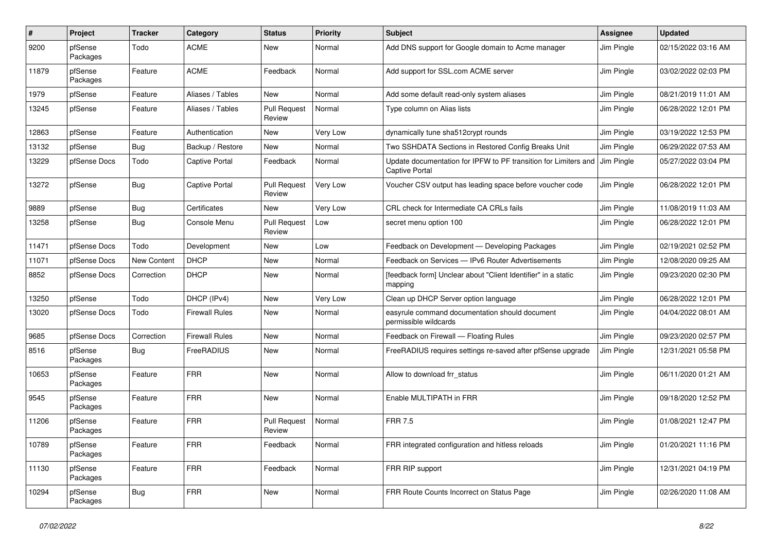| #     | Project             | Tracker     | Category              | <b>Status</b>                 | <b>Priority</b> | <b>Subject</b>                                                                           | Assignee   | <b>Updated</b>      |
|-------|---------------------|-------------|-----------------------|-------------------------------|-----------------|------------------------------------------------------------------------------------------|------------|---------------------|
| 9200  | pfSense<br>Packages | Todo        | <b>ACME</b>           | New                           | Normal          | Add DNS support for Google domain to Acme manager                                        | Jim Pingle | 02/15/2022 03:16 AM |
| 11879 | pfSense<br>Packages | Feature     | <b>ACME</b>           | Feedback                      | Normal          | Add support for SSL.com ACME server                                                      | Jim Pingle | 03/02/2022 02:03 PM |
| 1979  | pfSense             | Feature     | Aliases / Tables      | New                           | Normal          | Add some default read-only system aliases                                                | Jim Pingle | 08/21/2019 11:01 AM |
| 13245 | pfSense             | Feature     | Aliases / Tables      | <b>Pull Request</b><br>Review | Normal          | Type column on Alias lists                                                               | Jim Pingle | 06/28/2022 12:01 PM |
| 12863 | pfSense             | Feature     | Authentication        | <b>New</b>                    | Very Low        | dynamically tune sha512crypt rounds                                                      | Jim Pingle | 03/19/2022 12:53 PM |
| 13132 | pfSense             | <b>Bug</b>  | Backup / Restore      | New                           | Normal          | Two SSHDATA Sections in Restored Config Breaks Unit                                      | Jim Pingle | 06/29/2022 07:53 AM |
| 13229 | pfSense Docs        | Todo        | <b>Captive Portal</b> | Feedback                      | Normal          | Update documentation for IPFW to PF transition for Limiters and<br><b>Captive Portal</b> | Jim Pingle | 05/27/2022 03:04 PM |
| 13272 | pfSense             | <b>Bug</b>  | <b>Captive Portal</b> | <b>Pull Request</b><br>Review | Very Low        | Voucher CSV output has leading space before voucher code                                 | Jim Pingle | 06/28/2022 12:01 PM |
| 9889  | pfSense             | <b>Bug</b>  | Certificates          | New                           | Very Low        | CRL check for Intermediate CA CRLs fails                                                 | Jim Pingle | 11/08/2019 11:03 AM |
| 13258 | pfSense             | <b>Bug</b>  | Console Menu          | Pull Request<br>Review        | Low             | secret menu option 100                                                                   | Jim Pingle | 06/28/2022 12:01 PM |
| 11471 | pfSense Docs        | Todo        | Development           | New                           | Low             | Feedback on Development - Developing Packages                                            | Jim Pingle | 02/19/2021 02:52 PM |
| 11071 | pfSense Docs        | New Content | <b>DHCP</b>           | New                           | Normal          | Feedback on Services - IPv6 Router Advertisements                                        | Jim Pingle | 12/08/2020 09:25 AM |
| 8852  | pfSense Docs        | Correction  | <b>DHCP</b>           | New                           | Normal          | [feedback form] Unclear about "Client Identifier" in a static<br>mapping                 | Jim Pingle | 09/23/2020 02:30 PM |
| 13250 | pfSense             | Todo        | DHCP (IPv4)           | New                           | Very Low        | Clean up DHCP Server option language                                                     | Jim Pingle | 06/28/2022 12:01 PM |
| 13020 | pfSense Docs        | Todo        | <b>Firewall Rules</b> | New                           | Normal          | easyrule command documentation should document<br>permissible wildcards                  | Jim Pingle | 04/04/2022 08:01 AM |
| 9685  | pfSense Docs        | Correction  | <b>Firewall Rules</b> | New                           | Normal          | Feedback on Firewall - Floating Rules                                                    | Jim Pingle | 09/23/2020 02:57 PM |
| 8516  | pfSense<br>Packages | <b>Bug</b>  | FreeRADIUS            | New                           | Normal          | FreeRADIUS requires settings re-saved after pfSense upgrade                              | Jim Pingle | 12/31/2021 05:58 PM |
| 10653 | pfSense<br>Packages | Feature     | <b>FRR</b>            | <b>New</b>                    | Normal          | Allow to download frr_status                                                             | Jim Pingle | 06/11/2020 01:21 AM |
| 9545  | pfSense<br>Packages | Feature     | <b>FRR</b>            | <b>New</b>                    | Normal          | Enable MULTIPATH in FRR                                                                  | Jim Pingle | 09/18/2020 12:52 PM |
| 11206 | pfSense<br>Packages | Feature     | <b>FRR</b>            | <b>Pull Request</b><br>Review | Normal          | <b>FRR 7.5</b>                                                                           | Jim Pingle | 01/08/2021 12:47 PM |
| 10789 | pfSense<br>Packages | Feature     | <b>FRR</b>            | Feedback                      | Normal          | FRR integrated configuration and hitless reloads                                         | Jim Pingle | 01/20/2021 11:16 PM |
| 11130 | pfSense<br>Packages | Feature     | <b>FRR</b>            | Feedback                      | Normal          | FRR RIP support                                                                          | Jim Pingle | 12/31/2021 04:19 PM |
| 10294 | pfSense<br>Packages | Bug         | <b>FRR</b>            | New                           | Normal          | FRR Route Counts Incorrect on Status Page                                                | Jim Pingle | 02/26/2020 11:08 AM |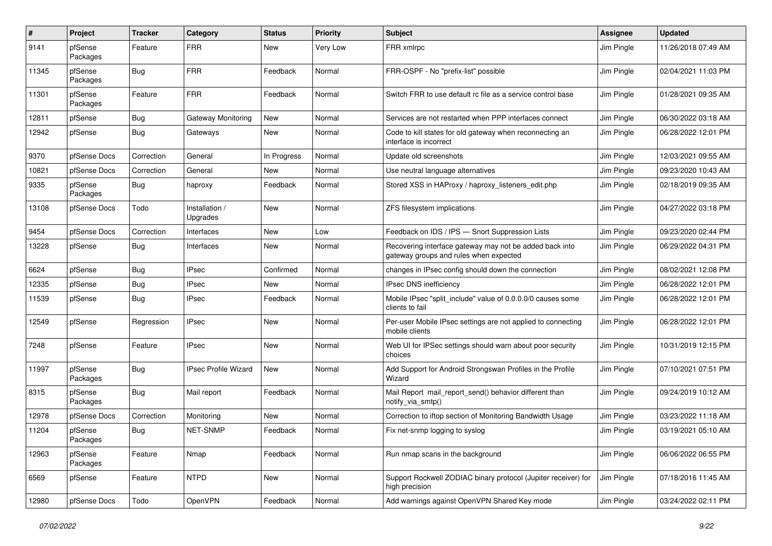| #     | Project             | <b>Tracker</b> | Category                    | <b>Status</b> | <b>Priority</b> | <b>Subject</b>                                                                                    | <b>Assignee</b> | <b>Updated</b>      |
|-------|---------------------|----------------|-----------------------------|---------------|-----------------|---------------------------------------------------------------------------------------------------|-----------------|---------------------|
| 9141  | pfSense<br>Packages | Feature        | <b>FRR</b>                  | New           | Very Low        | FRR xmlrpc                                                                                        | Jim Pingle      | 11/26/2018 07:49 AM |
| 11345 | pfSense<br>Packages | <b>Bug</b>     | <b>FRR</b>                  | Feedback      | Normal          | FRR-OSPF - No "prefix-list" possible                                                              | Jim Pingle      | 02/04/2021 11:03 PM |
| 11301 | pfSense<br>Packages | Feature        | <b>FRR</b>                  | Feedback      | Normal          | Switch FRR to use default rc file as a service control base                                       | Jim Pingle      | 01/28/2021 09:35 AM |
| 12811 | pfSense             | <b>Bug</b>     | Gateway Monitoring          | New           | Normal          | Services are not restarted when PPP interfaces connect                                            | Jim Pingle      | 06/30/2022 03:18 AM |
| 12942 | pfSense             | Bug            | Gateways                    | New           | Normal          | Code to kill states for old gateway when reconnecting an<br>interface is incorrect                | Jim Pingle      | 06/28/2022 12:01 PM |
| 9370  | pfSense Docs        | Correction     | General                     | In Progress   | Normal          | Update old screenshots                                                                            | Jim Pingle      | 12/03/2021 09:55 AM |
| 10821 | pfSense Docs        | Correction     | General                     | New           | Normal          | Use neutral language alternatives                                                                 | Jim Pingle      | 09/23/2020 10:43 AM |
| 9335  | pfSense<br>Packages | <b>Bug</b>     | haproxy                     | Feedback      | Normal          | Stored XSS in HAProxy / haproxy listeners edit.php                                                | Jim Pingle      | 02/18/2019 09:35 AM |
| 13108 | pfSense Docs        | Todo           | Installation /<br>Upgrades  | New           | Normal          | ZFS filesystem implications                                                                       | Jim Pingle      | 04/27/2022 03:18 PM |
| 9454  | pfSense Docs        | Correction     | Interfaces                  | New           | Low             | Feedback on IDS / IPS - Snort Suppression Lists                                                   | Jim Pingle      | 09/23/2020 02:44 PM |
| 13228 | pfSense             | Bug            | Interfaces                  | New           | Normal          | Recovering interface gateway may not be added back into<br>gateway groups and rules when expected | Jim Pingle      | 06/29/2022 04:31 PM |
| 6624  | pfSense             | Bug            | <b>IPsec</b>                | Confirmed     | Normal          | changes in IPsec config should down the connection                                                | Jim Pingle      | 08/02/2021 12:08 PM |
| 12335 | pfSense             | <b>Bug</b>     | IPsec                       | New           | Normal          | <b>IPsec DNS inefficiency</b>                                                                     | Jim Pingle      | 06/28/2022 12:01 PM |
| 11539 | pfSense             | Bug            | <b>IPsec</b>                | Feedback      | Normal          | Mobile IPsec "split_include" value of 0.0.0.0/0 causes some<br>clients to fail                    | Jim Pingle      | 06/28/2022 12:01 PM |
| 12549 | pfSense             | Regression     | IPsec                       | New           | Normal          | Per-user Mobile IPsec settings are not applied to connecting<br>mobile clients                    | Jim Pingle      | 06/28/2022 12:01 PM |
| 7248  | pfSense             | Feature        | <b>IPsec</b>                | New           | Normal          | Web UI for IPSec settings should warn about poor security<br>choices                              | Jim Pingle      | 10/31/2019 12:15 PM |
| 11997 | pfSense<br>Packages | Bug            | <b>IPsec Profile Wizard</b> | New           | Normal          | Add Support for Android Strongswan Profiles in the Profile<br>Wizard                              | Jim Pingle      | 07/10/2021 07:51 PM |
| 8315  | pfSense<br>Packages | <b>Bug</b>     | Mail report                 | Feedback      | Normal          | Mail Report mail_report_send() behavior different than<br>notify_via_smtp()                       | Jim Pingle      | 09/24/2019 10:12 AM |
| 12978 | pfSense Docs        | Correction     | Monitoring                  | New           | Normal          | Correction to iftop section of Monitoring Bandwidth Usage                                         | Jim Pingle      | 03/23/2022 11:18 AM |
| 11204 | pfSense<br>Packages | <b>Bug</b>     | NET-SNMP                    | Feedback      | Normal          | Fix net-snmp logging to syslog                                                                    | Jim Pingle      | 03/19/2021 05:10 AM |
| 12963 | pfSense<br>Packages | Feature        | Nmap                        | Feedback      | Normal          | Run nmap scans in the background                                                                  | Jim Pingle      | 06/06/2022 06:55 PM |
| 6569  | pfSense             | Feature        | <b>NTPD</b>                 | New           | Normal          | Support Rockwell ZODIAC binary protocol (Jupiter receiver) for<br>high precision                  | Jim Pingle      | 07/18/2016 11:45 AM |
| 12980 | pfSense Docs        | Todo           | OpenVPN                     | Feedback      | Normal          | Add warnings against OpenVPN Shared Key mode                                                      | Jim Pingle      | 03/24/2022 02:11 PM |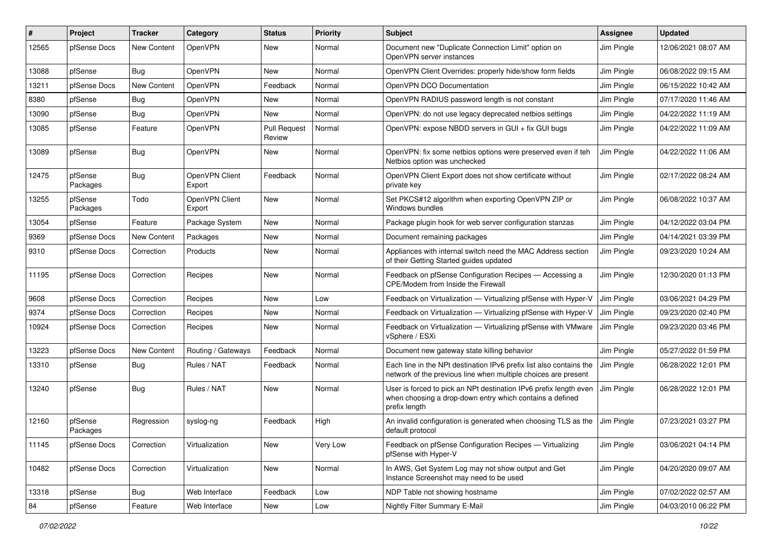| ∦     | Project             | <b>Tracker</b> | Category                 | <b>Status</b>                 | <b>Priority</b> | Subject                                                                                                                                        | <b>Assignee</b> | <b>Updated</b>      |
|-------|---------------------|----------------|--------------------------|-------------------------------|-----------------|------------------------------------------------------------------------------------------------------------------------------------------------|-----------------|---------------------|
| 12565 | pfSense Docs        | New Content    | OpenVPN                  | New                           | Normal          | Document new "Duplicate Connection Limit" option on<br>OpenVPN server instances                                                                | Jim Pingle      | 12/06/2021 08:07 AM |
| 13088 | pfSense             | Bug            | <b>OpenVPN</b>           | New                           | Normal          | OpenVPN Client Overrides: properly hide/show form fields                                                                                       | Jim Pingle      | 06/08/2022 09:15 AM |
| 13211 | pfSense Docs        | New Content    | OpenVPN                  | Feedback                      | Normal          | OpenVPN DCO Documentation                                                                                                                      | Jim Pingle      | 06/15/2022 10:42 AM |
| 8380  | pfSense             | <b>Bug</b>     | <b>OpenVPN</b>           | New                           | Normal          | OpenVPN RADIUS password length is not constant                                                                                                 | Jim Pingle      | 07/17/2020 11:46 AM |
| 13090 | pfSense             | Bug            | <b>OpenVPN</b>           | New                           | Normal          | OpenVPN: do not use legacy deprecated netbios settings                                                                                         | Jim Pingle      | 04/22/2022 11:19 AM |
| 13085 | pfSense             | Feature        | OpenVPN                  | <b>Pull Request</b><br>Review | Normal          | OpenVPN: expose NBDD servers in GUI + fix GUI bugs                                                                                             | Jim Pingle      | 04/22/2022 11:09 AM |
| 13089 | pfSense             | Bug            | <b>OpenVPN</b>           | New                           | Normal          | OpenVPN: fix some netbios options were preserved even if teh<br>Netbios option was unchecked                                                   | Jim Pingle      | 04/22/2022 11:06 AM |
| 12475 | pfSense<br>Packages | Bug            | OpenVPN Client<br>Export | Feedback                      | Normal          | OpenVPN Client Export does not show certificate without<br>private key                                                                         | Jim Pingle      | 02/17/2022 08:24 AM |
| 13255 | pfSense<br>Packages | Todo           | OpenVPN Client<br>Export | New                           | Normal          | Set PKCS#12 algorithm when exporting OpenVPN ZIP or<br>Windows bundles                                                                         | Jim Pingle      | 06/08/2022 10:37 AM |
| 13054 | pfSense             | Feature        | Package System           | New                           | Normal          | Package plugin hook for web server configuration stanzas                                                                                       | Jim Pingle      | 04/12/2022 03:04 PM |
| 9369  | pfSense Docs        | New Content    | Packages                 | New                           | Normal          | Document remaining packages                                                                                                                    | Jim Pingle      | 04/14/2021 03:39 PM |
| 9310  | pfSense Docs        | Correction     | Products                 | New                           | Normal          | Appliances with internal switch need the MAC Address section<br>of their Getting Started guides updated                                        | Jim Pingle      | 09/23/2020 10:24 AM |
| 11195 | pfSense Docs        | Correction     | Recipes                  | New                           | Normal          | Feedback on pfSense Configuration Recipes - Accessing a<br>CPE/Modem from Inside the Firewall                                                  | Jim Pingle      | 12/30/2020 01:13 PM |
| 9608  | pfSense Docs        | Correction     | Recipes                  | New                           | Low             | Feedback on Virtualization - Virtualizing pfSense with Hyper-V                                                                                 | Jim Pingle      | 03/06/2021 04:29 PM |
| 9374  | pfSense Docs        | Correction     | Recipes                  | New                           | Normal          | Feedback on Virtualization - Virtualizing pfSense with Hyper-V                                                                                 | Jim Pingle      | 09/23/2020 02:40 PM |
| 10924 | pfSense Docs        | Correction     | Recipes                  | New                           | Normal          | Feedback on Virtualization - Virtualizing pfSense with VMware<br>vSphere / ESXi                                                                | Jim Pingle      | 09/23/2020 03:46 PM |
| 13223 | pfSense Docs        | New Content    | Routing / Gateways       | Feedback                      | Normal          | Document new gateway state killing behavior                                                                                                    | Jim Pingle      | 05/27/2022 01:59 PM |
| 13310 | pfSense             | <b>Bug</b>     | Rules / NAT              | Feedback                      | Normal          | Each line in the NPt destination IPv6 prefix list also contains the<br>network of the previous line when multiple choices are present          | Jim Pingle      | 06/28/2022 12:01 PM |
| 13240 | pfSense             | <b>Bug</b>     | Rules / NAT              | New                           | Normal          | User is forced to pick an NPt destination IPv6 prefix length even<br>when choosing a drop-down entry which contains a defined<br>prefix length | Jim Pingle      | 06/28/2022 12:01 PM |
| 12160 | pfSense<br>Packages | Regression     | syslog-ng                | Feedback                      | High            | An invalid configuration is generated when choosing TLS as the<br>default protocol                                                             | Jim Pingle      | 07/23/2021 03:27 PM |
| 11145 | pfSense Docs        | Correction     | Virtualization           | New                           | Very Low        | Feedback on pfSense Configuration Recipes - Virtualizing<br>pfSense with Hyper-V                                                               | Jim Pingle      | 03/06/2021 04:14 PM |
| 10482 | pfSense Docs        | Correction     | Virtualization           | New                           | Normal          | In AWS, Get System Log may not show output and Get<br>Instance Screenshot may need to be used                                                  | Jim Pingle      | 04/20/2020 09:07 AM |
| 13318 | pfSense             | <b>Bug</b>     | Web Interface            | Feedback                      | Low             | NDP Table not showing hostname                                                                                                                 | Jim Pingle      | 07/02/2022 02:57 AM |
| 84    | pfSense             | Feature        | Web Interface            | New                           | Low             | Nightly Filter Summary E-Mail                                                                                                                  | Jim Pingle      | 04/03/2010 06:22 PM |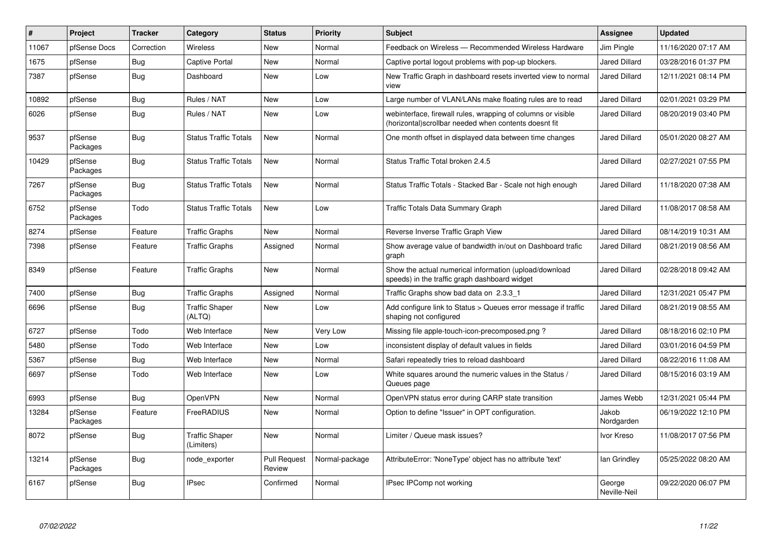| #     | Project             | <b>Tracker</b> | Category                            | <b>Status</b>                 | <b>Priority</b> | <b>Subject</b>                                                                                                         | <b>Assignee</b>        | <b>Updated</b>      |
|-------|---------------------|----------------|-------------------------------------|-------------------------------|-----------------|------------------------------------------------------------------------------------------------------------------------|------------------------|---------------------|
| 11067 | pfSense Docs        | Correction     | Wireless                            | <b>New</b>                    | Normal          | Feedback on Wireless - Recommended Wireless Hardware                                                                   | Jim Pingle             | 11/16/2020 07:17 AM |
| 1675  | pfSense             | <b>Bug</b>     | <b>Captive Portal</b>               | <b>New</b>                    | Normal          | Captive portal logout problems with pop-up blockers.                                                                   | <b>Jared Dillard</b>   | 03/28/2016 01:37 PM |
| 7387  | pfSense             | <b>Bug</b>     | Dashboard                           | New                           | Low             | New Traffic Graph in dashboard resets inverted view to normal<br>view                                                  | Jared Dillard          | 12/11/2021 08:14 PM |
| 10892 | pfSense             | <b>Bug</b>     | Rules / NAT                         | <b>New</b>                    | Low             | Large number of VLAN/LANs make floating rules are to read                                                              | <b>Jared Dillard</b>   | 02/01/2021 03:29 PM |
| 6026  | pfSense             | <b>Bug</b>     | Rules / NAT                         | <b>New</b>                    | Low             | webinterface, firewall rules, wrapping of columns or visible<br>(horizontal) scrollbar needed when contents doesnt fit | Jared Dillard          | 08/20/2019 03:40 PM |
| 9537  | pfSense<br>Packages | Bug            | <b>Status Traffic Totals</b>        | <b>New</b>                    | Normal          | One month offset in displayed data between time changes                                                                | Jared Dillard          | 05/01/2020 08:27 AM |
| 10429 | pfSense<br>Packages | Bug            | <b>Status Traffic Totals</b>        | <b>New</b>                    | Normal          | Status Traffic Total broken 2.4.5                                                                                      | <b>Jared Dillard</b>   | 02/27/2021 07:55 PM |
| 7267  | pfSense<br>Packages | Bug            | <b>Status Traffic Totals</b>        | New                           | Normal          | Status Traffic Totals - Stacked Bar - Scale not high enough                                                            | <b>Jared Dillard</b>   | 11/18/2020 07:38 AM |
| 6752  | pfSense<br>Packages | Todo           | <b>Status Traffic Totals</b>        | <b>New</b>                    | Low             | Traffic Totals Data Summary Graph                                                                                      | Jared Dillard          | 11/08/2017 08:58 AM |
| 8274  | pfSense             | Feature        | <b>Traffic Graphs</b>               | New                           | Normal          | Reverse Inverse Traffic Graph View                                                                                     | <b>Jared Dillard</b>   | 08/14/2019 10:31 AM |
| 7398  | pfSense             | Feature        | <b>Traffic Graphs</b>               | Assigned                      | Normal          | Show average value of bandwidth in/out on Dashboard trafic<br>graph                                                    | Jared Dillard          | 08/21/2019 08:56 AM |
| 8349  | pfSense             | Feature        | <b>Traffic Graphs</b>               | <b>New</b>                    | Normal          | Show the actual numerical information (upload/download<br>speeds) in the traffic graph dashboard widget                | Jared Dillard          | 02/28/2018 09:42 AM |
| 7400  | pfSense             | <b>Bug</b>     | <b>Traffic Graphs</b>               | Assigned                      | Normal          | Traffic Graphs show bad data on 2.3.3 1                                                                                | <b>Jared Dillard</b>   | 12/31/2021 05:47 PM |
| 6696  | pfSense             | Bug            | <b>Traffic Shaper</b><br>(ALTQ)     | New                           | Low             | Add configure link to Status > Queues error message if traffic<br>shaping not configured                               | Jared Dillard          | 08/21/2019 08:55 AM |
| 6727  | pfSense             | Todo           | Web Interface                       | <b>New</b>                    | Very Low        | Missing file apple-touch-icon-precomposed.png?                                                                         | <b>Jared Dillard</b>   | 08/18/2016 02:10 PM |
| 5480  | pfSense             | Todo           | Web Interface                       | <b>New</b>                    | Low             | inconsistent display of default values in fields                                                                       | <b>Jared Dillard</b>   | 03/01/2016 04:59 PM |
| 5367  | pfSense             | Bug            | Web Interface                       | <b>New</b>                    | Normal          | Safari repeatedly tries to reload dashboard                                                                            | Jared Dillard          | 08/22/2016 11:08 AM |
| 6697  | pfSense             | Todo           | Web Interface                       | New                           | Low             | White squares around the numeric values in the Status /<br>Queues page                                                 | <b>Jared Dillard</b>   | 08/15/2016 03:19 AM |
| 6993  | pfSense             | <b>Bug</b>     | OpenVPN                             | <b>New</b>                    | Normal          | OpenVPN status error during CARP state transition                                                                      | James Webb             | 12/31/2021 05:44 PM |
| 13284 | pfSense<br>Packages | Feature        | FreeRADIUS                          | New                           | Normal          | Option to define "Issuer" in OPT configuration.                                                                        | Jakob<br>Nordgarden    | 06/19/2022 12:10 PM |
| 8072  | pfSense             | <b>Bug</b>     | <b>Traffic Shaper</b><br>(Limiters) | <b>New</b>                    | Normal          | Limiter / Queue mask issues?                                                                                           | Ivor Kreso             | 11/08/2017 07:56 PM |
| 13214 | pfSense<br>Packages | <b>Bug</b>     | node_exporter                       | <b>Pull Request</b><br>Review | Normal-package  | AttributeError: 'NoneType' object has no attribute 'text'                                                              | lan Grindlev           | 05/25/2022 08:20 AM |
| 6167  | pfSense             | <b>Bug</b>     | <b>IPsec</b>                        | Confirmed                     | Normal          | IPsec IPComp not working                                                                                               | George<br>Neville-Neil | 09/22/2020 06:07 PM |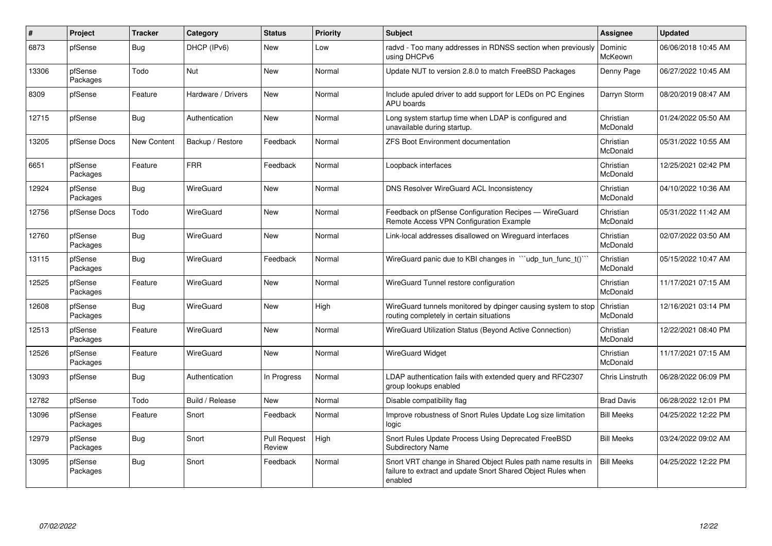| $\pmb{\sharp}$ | <b>Project</b>      | <b>Tracker</b>     | Category           | <b>Status</b>                 | Priority | <b>Subject</b>                                                                                                                          | Assignee               | <b>Updated</b>      |
|----------------|---------------------|--------------------|--------------------|-------------------------------|----------|-----------------------------------------------------------------------------------------------------------------------------------------|------------------------|---------------------|
| 6873           | pfSense             | Bug                | DHCP (IPv6)        | <b>New</b>                    | Low      | radvd - Too many addresses in RDNSS section when previously<br>using DHCPv6                                                             | Dominic<br>McKeown     | 06/06/2018 10:45 AM |
| 13306          | pfSense<br>Packages | Todo               | Nut                | <b>New</b>                    | Normal   | Update NUT to version 2.8.0 to match FreeBSD Packages                                                                                   | Denny Page             | 06/27/2022 10:45 AM |
| 8309           | pfSense             | Feature            | Hardware / Drivers | <b>New</b>                    | Normal   | Include apuled driver to add support for LEDs on PC Engines<br>APU boards                                                               | Darryn Storm           | 08/20/2019 08:47 AM |
| 12715          | pfSense             | Bug                | Authentication     | <b>New</b>                    | Normal   | Long system startup time when LDAP is configured and<br>unavailable during startup.                                                     | Christian<br>McDonald  | 01/24/2022 05:50 AM |
| 13205          | pfSense Docs        | <b>New Content</b> | Backup / Restore   | Feedback                      | Normal   | <b>ZFS Boot Environment documentation</b>                                                                                               | Christian<br>McDonald  | 05/31/2022 10:55 AM |
| 6651           | pfSense<br>Packages | Feature            | <b>FRR</b>         | Feedback                      | Normal   | Loopback interfaces                                                                                                                     | Christian<br>McDonald  | 12/25/2021 02:42 PM |
| 12924          | pfSense<br>Packages | Bug                | WireGuard          | <b>New</b>                    | Normal   | DNS Resolver WireGuard ACL Inconsistency                                                                                                | Christian<br>McDonald  | 04/10/2022 10:36 AM |
| 12756          | pfSense Docs        | Todo               | WireGuard          | <b>New</b>                    | Normal   | Feedback on pfSense Configuration Recipes - WireGuard<br>Remote Access VPN Configuration Example                                        | Christian<br>McDonald  | 05/31/2022 11:42 AM |
| 12760          | pfSense<br>Packages | Bug                | WireGuard          | <b>New</b>                    | Normal   | Link-local addresses disallowed on Wireguard interfaces                                                                                 | Christian<br>McDonald  | 02/07/2022 03:50 AM |
| 13115          | pfSense<br>Packages | <b>Bug</b>         | WireGuard          | Feedback                      | Normal   | WireGuard panic due to KBI changes in ""udp_tun_func_t()""                                                                              | Christian<br>McDonald  | 05/15/2022 10:47 AM |
| 12525          | pfSense<br>Packages | Feature            | WireGuard          | <b>New</b>                    | Normal   | WireGuard Tunnel restore configuration                                                                                                  | Christian<br>McDonald  | 11/17/2021 07:15 AM |
| 12608          | pfSense<br>Packages | Bug                | WireGuard          | <b>New</b>                    | High     | WireGuard tunnels monitored by dpinger causing system to stop<br>routing completely in certain situations                               | Christian<br>McDonald  | 12/16/2021 03:14 PM |
| 12513          | pfSense<br>Packages | Feature            | WireGuard          | <b>New</b>                    | Normal   | WireGuard Utilization Status (Beyond Active Connection)                                                                                 | Christian<br>McDonald  | 12/22/2021 08:40 PM |
| 12526          | pfSense<br>Packages | Feature            | WireGuard          | <b>New</b>                    | Normal   | <b>WireGuard Widget</b>                                                                                                                 | Christian<br>McDonald  | 11/17/2021 07:15 AM |
| 13093          | pfSense             | Bug                | Authentication     | In Progress                   | Normal   | LDAP authentication fails with extended query and RFC2307<br>group lookups enabled                                                      | <b>Chris Linstruth</b> | 06/28/2022 06:09 PM |
| 12782          | pfSense             | Todo               | Build / Release    | <b>New</b>                    | Normal   | Disable compatibility flag                                                                                                              | <b>Brad Davis</b>      | 06/28/2022 12:01 PM |
| 13096          | pfSense<br>Packages | Feature            | Snort              | Feedback                      | Normal   | Improve robustness of Snort Rules Update Log size limitation<br>logic                                                                   | <b>Bill Meeks</b>      | 04/25/2022 12:22 PM |
| 12979          | pfSense<br>Packages | Bug                | Snort              | <b>Pull Request</b><br>Review | High     | Snort Rules Update Process Using Deprecated FreeBSD<br><b>Subdirectory Name</b>                                                         | <b>Bill Meeks</b>      | 03/24/2022 09:02 AM |
| 13095          | pfSense<br>Packages | <b>Bug</b>         | Snort              | Feedback                      | Normal   | Snort VRT change in Shared Object Rules path name results in<br>failure to extract and update Snort Shared Object Rules when<br>enabled | <b>Bill Meeks</b>      | 04/25/2022 12:22 PM |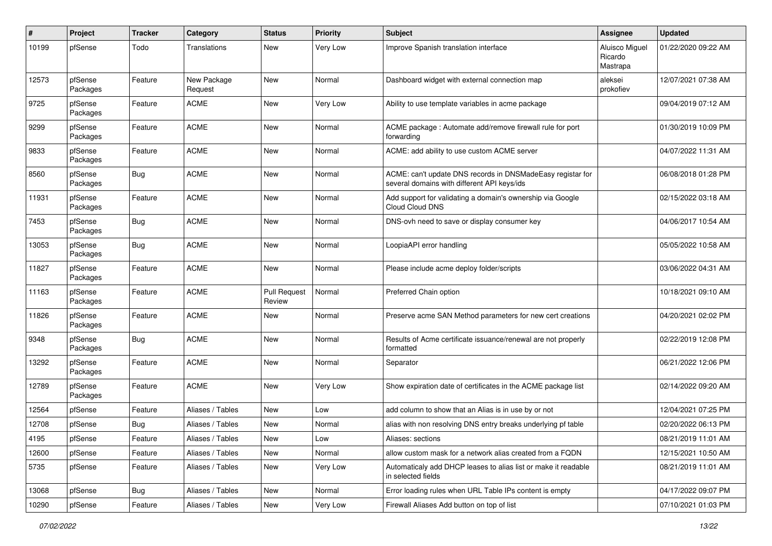| #     | Project             | <b>Tracker</b> | Category               | <b>Status</b>                 | <b>Priority</b> | <b>Subject</b>                                                                                            | <b>Assignee</b>                       | <b>Updated</b>      |
|-------|---------------------|----------------|------------------------|-------------------------------|-----------------|-----------------------------------------------------------------------------------------------------------|---------------------------------------|---------------------|
| 10199 | pfSense             | Todo           | Translations           | New                           | <b>Very Low</b> | Improve Spanish translation interface                                                                     | Aluisco Miguel<br>Ricardo<br>Mastrapa | 01/22/2020 09:22 AM |
| 12573 | pfSense<br>Packages | Feature        | New Package<br>Request | New                           | Normal          | Dashboard widget with external connection map                                                             | aleksei<br>prokofiev                  | 12/07/2021 07:38 AM |
| 9725  | pfSense<br>Packages | Feature        | <b>ACME</b>            | New                           | Very Low        | Ability to use template variables in acme package                                                         |                                       | 09/04/2019 07:12 AM |
| 9299  | pfSense<br>Packages | Feature        | <b>ACME</b>            | New                           | Normal          | ACME package : Automate add/remove firewall rule for port<br>forwarding                                   |                                       | 01/30/2019 10:09 PM |
| 9833  | pfSense<br>Packages | Feature        | <b>ACME</b>            | <b>New</b>                    | Normal          | ACME: add ability to use custom ACME server                                                               |                                       | 04/07/2022 11:31 AM |
| 8560  | pfSense<br>Packages | <b>Bug</b>     | <b>ACME</b>            | New                           | Normal          | ACME: can't update DNS records in DNSMadeEasy registar for<br>several domains with different API keys/ids |                                       | 06/08/2018 01:28 PM |
| 11931 | pfSense<br>Packages | Feature        | <b>ACME</b>            | New                           | Normal          | Add support for validating a domain's ownership via Google<br>Cloud Cloud DNS                             |                                       | 02/15/2022 03:18 AM |
| 7453  | pfSense<br>Packages | Bug            | <b>ACME</b>            | New                           | Normal          | DNS-ovh need to save or display consumer key                                                              |                                       | 04/06/2017 10:54 AM |
| 13053 | pfSense<br>Packages | <b>Bug</b>     | <b>ACME</b>            | <b>New</b>                    | Normal          | LoopiaAPI error handling                                                                                  |                                       | 05/05/2022 10:58 AM |
| 11827 | pfSense<br>Packages | Feature        | <b>ACME</b>            | New                           | Normal          | Please include acme deploy folder/scripts                                                                 |                                       | 03/06/2022 04:31 AM |
| 11163 | pfSense<br>Packages | Feature        | <b>ACME</b>            | <b>Pull Request</b><br>Review | Normal          | Preferred Chain option                                                                                    |                                       | 10/18/2021 09:10 AM |
| 11826 | pfSense<br>Packages | Feature        | <b>ACME</b>            | <b>New</b>                    | Normal          | Preserve acme SAN Method parameters for new cert creations                                                |                                       | 04/20/2021 02:02 PM |
| 9348  | pfSense<br>Packages | Bug            | <b>ACME</b>            | New                           | Normal          | Results of Acme certificate issuance/renewal are not properly<br>formatted                                |                                       | 02/22/2019 12:08 PM |
| 13292 | pfSense<br>Packages | Feature        | <b>ACME</b>            | New                           | Normal          | Separator                                                                                                 |                                       | 06/21/2022 12:06 PM |
| 12789 | pfSense<br>Packages | Feature        | <b>ACME</b>            | New                           | <b>Very Low</b> | Show expiration date of certificates in the ACME package list                                             |                                       | 02/14/2022 09:20 AM |
| 12564 | pfSense             | Feature        | Aliases / Tables       | <b>New</b>                    | Low             | add column to show that an Alias is in use by or not                                                      |                                       | 12/04/2021 07:25 PM |
| 12708 | pfSense             | Bug            | Aliases / Tables       | New                           | Normal          | alias with non resolving DNS entry breaks underlying pf table                                             |                                       | 02/20/2022 06:13 PM |
| 4195  | pfSense             | Feature        | Aliases / Tables       | New                           | Low             | Aliases: sections                                                                                         |                                       | 08/21/2019 11:01 AM |
| 12600 | pfSense             | Feature        | Aliases / Tables       | New                           | Normal          | allow custom mask for a network alias created from a FQDN                                                 |                                       | 12/15/2021 10:50 AM |
| 5735  | pfSense             | Feature        | Aliases / Tables       | New                           | Very Low        | Automaticaly add DHCP leases to alias list or make it readable<br>in selected fields                      |                                       | 08/21/2019 11:01 AM |
| 13068 | pfSense             | <b>Bug</b>     | Aliases / Tables       | New                           | Normal          | Error loading rules when URL Table IPs content is empty                                                   |                                       | 04/17/2022 09:07 PM |
| 10290 | pfSense             | Feature        | Aliases / Tables       | New                           | Very Low        | Firewall Aliases Add button on top of list                                                                |                                       | 07/10/2021 01:03 PM |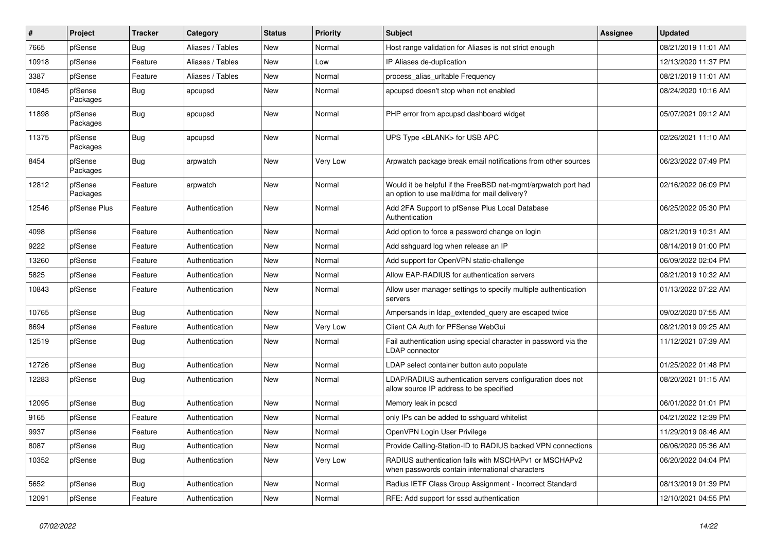| ∦     | Project             | <b>Tracker</b> | Category         | <b>Status</b> | Priority | Subject                                                                                                       | <b>Assignee</b> | <b>Updated</b>      |
|-------|---------------------|----------------|------------------|---------------|----------|---------------------------------------------------------------------------------------------------------------|-----------------|---------------------|
| 7665  | pfSense             | Bug            | Aliases / Tables | New           | Normal   | Host range validation for Aliases is not strict enough                                                        |                 | 08/21/2019 11:01 AM |
| 10918 | pfSense             | Feature        | Aliases / Tables | New           | Low      | IP Aliases de-duplication                                                                                     |                 | 12/13/2020 11:37 PM |
| 3387  | pfSense             | Feature        | Aliases / Tables | New           | Normal   | process alias urltable Frequency                                                                              |                 | 08/21/2019 11:01 AM |
| 10845 | pfSense<br>Packages | <b>Bug</b>     | apcupsd          | New           | Normal   | apcupsd doesn't stop when not enabled                                                                         |                 | 08/24/2020 10:16 AM |
| 11898 | pfSense<br>Packages | <b>Bug</b>     | apcupsd          | New           | Normal   | PHP error from apcupsd dashboard widget                                                                       |                 | 05/07/2021 09:12 AM |
| 11375 | pfSense<br>Packages | <b>Bug</b>     | apcupsd          | New           | Normal   | UPS Type <blank> for USB APC</blank>                                                                          |                 | 02/26/2021 11:10 AM |
| 8454  | pfSense<br>Packages | Bug            | arpwatch         | New           | Very Low | Arpwatch package break email notifications from other sources                                                 |                 | 06/23/2022 07:49 PM |
| 12812 | pfSense<br>Packages | Feature        | arpwatch         | New           | Normal   | Would it be helpful if the FreeBSD net-mgmt/arpwatch port had<br>an option to use mail/dma for mail delivery? |                 | 02/16/2022 06:09 PM |
| 12546 | pfSense Plus        | Feature        | Authentication   | New           | Normal   | Add 2FA Support to pfSense Plus Local Database<br>Authentication                                              |                 | 06/25/2022 05:30 PM |
| 4098  | pfSense             | Feature        | Authentication   | New           | Normal   | Add option to force a password change on login                                                                |                 | 08/21/2019 10:31 AM |
| 9222  | pfSense             | Feature        | Authentication   | New           | Normal   | Add sshquard log when release an IP                                                                           |                 | 08/14/2019 01:00 PM |
| 13260 | pfSense             | Feature        | Authentication   | New           | Normal   | Add support for OpenVPN static-challenge                                                                      |                 | 06/09/2022 02:04 PM |
| 5825  | pfSense             | Feature        | Authentication   | New           | Normal   | Allow EAP-RADIUS for authentication servers                                                                   |                 | 08/21/2019 10:32 AM |
| 10843 | pfSense             | Feature        | Authentication   | New           | Normal   | Allow user manager settings to specify multiple authentication<br>servers                                     |                 | 01/13/2022 07:22 AM |
| 10765 | pfSense             | Bug            | Authentication   | New           | Normal   | Ampersands in Idap extended query are escaped twice                                                           |                 | 09/02/2020 07:55 AM |
| 8694  | pfSense             | Feature        | Authentication   | New           | Very Low | Client CA Auth for PFSense WebGui                                                                             |                 | 08/21/2019 09:25 AM |
| 12519 | pfSense             | <b>Bug</b>     | Authentication   | New           | Normal   | Fail authentication using special character in password via the<br><b>LDAP</b> connector                      |                 | 11/12/2021 07:39 AM |
| 12726 | pfSense             | Bug            | Authentication   | New           | Normal   | LDAP select container button auto populate                                                                    |                 | 01/25/2022 01:48 PM |
| 12283 | pfSense             | <b>Bug</b>     | Authentication   | New           | Normal   | LDAP/RADIUS authentication servers configuration does not<br>allow source IP address to be specified          |                 | 08/20/2021 01:15 AM |
| 12095 | pfSense             | <b>Bug</b>     | Authentication   | New           | Normal   | Memory leak in pcscd                                                                                          |                 | 06/01/2022 01:01 PM |
| 9165  | pfSense             | Feature        | Authentication   | New           | Normal   | only IPs can be added to sshguard whitelist                                                                   |                 | 04/21/2022 12:39 PM |
| 9937  | pfSense             | Feature        | Authentication   | New           | Normal   | OpenVPN Login User Privilege                                                                                  |                 | 11/29/2019 08:46 AM |
| 8087  | pfSense             | <b>Bug</b>     | Authentication   | New           | Normal   | Provide Calling-Station-ID to RADIUS backed VPN connections                                                   |                 | 06/06/2020 05:36 AM |
| 10352 | pfSense             | <b>Bug</b>     | Authentication   | New           | Very Low | RADIUS authentication fails with MSCHAPv1 or MSCHAPv2<br>when passwords contain international characters      |                 | 06/20/2022 04:04 PM |
| 5652  | pfSense             | <b>Bug</b>     | Authentication   | New           | Normal   | Radius IETF Class Group Assignment - Incorrect Standard                                                       |                 | 08/13/2019 01:39 PM |
| 12091 | pfSense             | Feature        | Authentication   | New           | Normal   | RFE: Add support for sssd authentication                                                                      |                 | 12/10/2021 04:55 PM |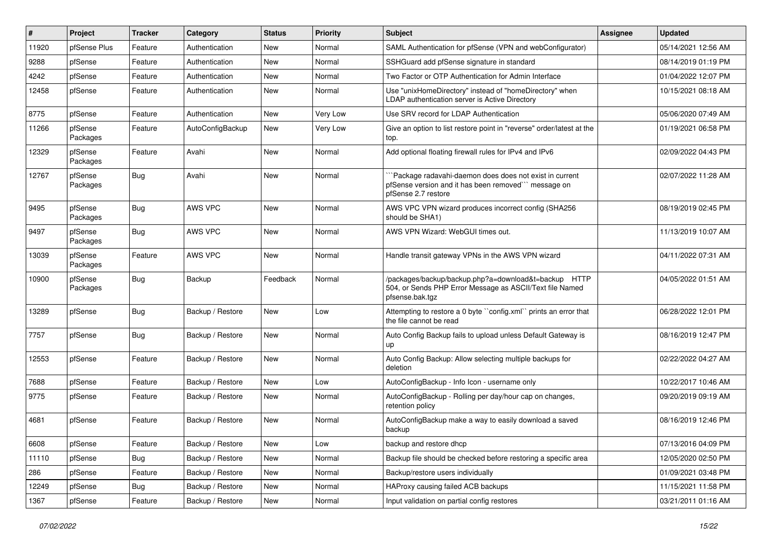| #     | Project             | <b>Tracker</b> | Category         | <b>Status</b> | Priority | <b>Subject</b>                                                                                                                                | <b>Assignee</b> | <b>Updated</b>      |
|-------|---------------------|----------------|------------------|---------------|----------|-----------------------------------------------------------------------------------------------------------------------------------------------|-----------------|---------------------|
| 11920 | pfSense Plus        | Feature        | Authentication   | New           | Normal   | SAML Authentication for pfSense (VPN and webConfigurator)                                                                                     |                 | 05/14/2021 12:56 AM |
| 9288  | pfSense             | Feature        | Authentication   | <b>New</b>    | Normal   | SSHGuard add pfSense signature in standard                                                                                                    |                 | 08/14/2019 01:19 PM |
| 4242  | pfSense             | Feature        | Authentication   | New           | Normal   | Two Factor or OTP Authentication for Admin Interface                                                                                          |                 | 01/04/2022 12:07 PM |
| 12458 | pfSense             | Feature        | Authentication   | New           | Normal   | Use "unixHomeDirectory" instead of "homeDirectory" when<br>LDAP authentication server is Active Directory                                     |                 | 10/15/2021 08:18 AM |
| 8775  | pfSense             | Feature        | Authentication   | New           | Very Low | Use SRV record for LDAP Authentication                                                                                                        |                 | 05/06/2020 07:49 AM |
| 11266 | pfSense<br>Packages | Feature        | AutoConfigBackup | New           | Very Low | Give an option to list restore point in "reverse" order/latest at the<br>top.                                                                 |                 | 01/19/2021 06:58 PM |
| 12329 | pfSense<br>Packages | Feature        | Avahi            | New           | Normal   | Add optional floating firewall rules for IPv4 and IPv6                                                                                        |                 | 02/09/2022 04:43 PM |
| 12767 | pfSense<br>Packages | <b>Bug</b>     | Avahi            | New           | Normal   | "Package radavahi-daemon does does not exist in current<br>pfSense version and it has been removed" message on<br>pfSense 2.7 restore         |                 | 02/07/2022 11:28 AM |
| 9495  | pfSense<br>Packages | <b>Bug</b>     | AWS VPC          | New           | Normal   | AWS VPC VPN wizard produces incorrect config (SHA256<br>should be SHA1)                                                                       |                 | 08/19/2019 02:45 PM |
| 9497  | pfSense<br>Packages | <b>Bug</b>     | AWS VPC          | New           | Normal   | AWS VPN Wizard: WebGUI times out.                                                                                                             |                 | 11/13/2019 10:07 AM |
| 13039 | pfSense<br>Packages | Feature        | AWS VPC          | <b>New</b>    | Normal   | Handle transit gateway VPNs in the AWS VPN wizard                                                                                             |                 | 04/11/2022 07:31 AM |
| 10900 | pfSense<br>Packages | <b>Bug</b>     | Backup           | Feedback      | Normal   | /packages/backup/backup.php?a=download&t=backup<br><b>HTTP</b><br>504, or Sends PHP Error Message as ASCII/Text file Named<br>pfsense.bak.tgz |                 | 04/05/2022 01:51 AM |
| 13289 | pfSense             | <b>Bug</b>     | Backup / Restore | New           | Low      | Attempting to restore a 0 byte "config.xml" prints an error that<br>the file cannot be read                                                   |                 | 06/28/2022 12:01 PM |
| 7757  | pfSense             | <b>Bug</b>     | Backup / Restore | <b>New</b>    | Normal   | Auto Config Backup fails to upload unless Default Gateway is<br>up                                                                            |                 | 08/16/2019 12:47 PM |
| 12553 | pfSense             | Feature        | Backup / Restore | <b>New</b>    | Normal   | Auto Config Backup: Allow selecting multiple backups for<br>deletion                                                                          |                 | 02/22/2022 04:27 AM |
| 7688  | pfSense             | Feature        | Backup / Restore | New           | Low      | AutoConfigBackup - Info Icon - username only                                                                                                  |                 | 10/22/2017 10:46 AM |
| 9775  | pfSense             | Feature        | Backup / Restore | <b>New</b>    | Normal   | AutoConfigBackup - Rolling per day/hour cap on changes,<br>retention policy                                                                   |                 | 09/20/2019 09:19 AM |
| 4681  | pfSense             | Feature        | Backup / Restore | New           | Normal   | AutoConfigBackup make a way to easily download a saved<br>backup                                                                              |                 | 08/16/2019 12:46 PM |
| 6608  | pfSense             | Feature        | Backup / Restore | New           | Low      | backup and restore dhcp                                                                                                                       |                 | 07/13/2016 04:09 PM |
| 11110 | pfSense             | <b>Bug</b>     | Backup / Restore | New           | Normal   | Backup file should be checked before restoring a specific area                                                                                |                 | 12/05/2020 02:50 PM |
| 286   | pfSense             | Feature        | Backup / Restore | New           | Normal   | Backup/restore users individually                                                                                                             |                 | 01/09/2021 03:48 PM |
| 12249 | pfSense             | <b>Bug</b>     | Backup / Restore | New           | Normal   | HAProxy causing failed ACB backups                                                                                                            |                 | 11/15/2021 11:58 PM |
| 1367  | pfSense             | Feature        | Backup / Restore | New           | Normal   | Input validation on partial config restores                                                                                                   |                 | 03/21/2011 01:16 AM |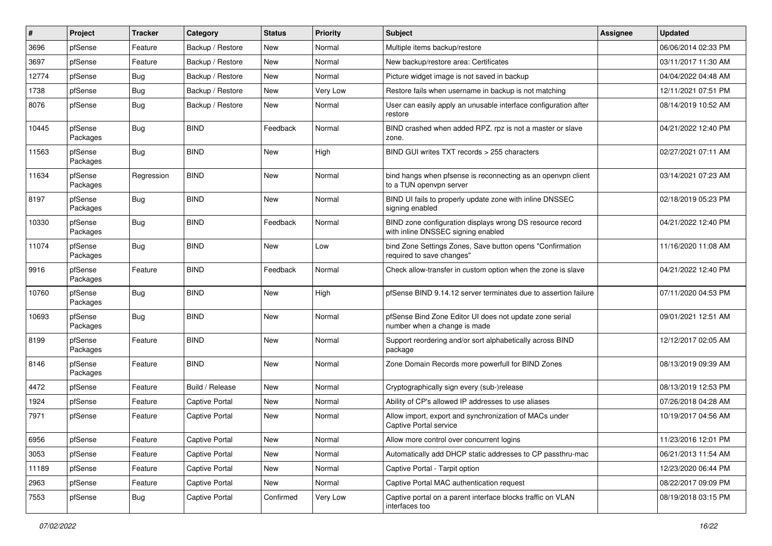| #     | Project             | <b>Tracker</b> | Category              | <b>Status</b> | Priority | <b>Subject</b>                                                                                  | <b>Assignee</b> | <b>Updated</b>      |
|-------|---------------------|----------------|-----------------------|---------------|----------|-------------------------------------------------------------------------------------------------|-----------------|---------------------|
| 3696  | pfSense             | Feature        | Backup / Restore      | New           | Normal   | Multiple items backup/restore                                                                   |                 | 06/06/2014 02:33 PM |
| 3697  | pfSense             | Feature        | Backup / Restore      | New           | Normal   | New backup/restore area: Certificates                                                           |                 | 03/11/2017 11:30 AM |
| 12774 | pfSense             | Bug            | Backup / Restore      | New           | Normal   | Picture widget image is not saved in backup                                                     |                 | 04/04/2022 04:48 AM |
| 1738  | pfSense             | <b>Bug</b>     | Backup / Restore      | New           | Very Low | Restore fails when username in backup is not matching                                           |                 | 12/11/2021 07:51 PM |
| 8076  | pfSense             | <b>Bug</b>     | Backup / Restore      | New           | Normal   | User can easily apply an unusable interface configuration after<br>restore                      |                 | 08/14/2019 10:52 AM |
| 10445 | pfSense<br>Packages | <b>Bug</b>     | <b>BIND</b>           | Feedback      | Normal   | BIND crashed when added RPZ. rpz is not a master or slave<br>zone.                              |                 | 04/21/2022 12:40 PM |
| 11563 | pfSense<br>Packages | <b>Bug</b>     | <b>BIND</b>           | New           | High     | BIND GUI writes TXT records > 255 characters                                                    |                 | 02/27/2021 07:11 AM |
| 11634 | pfSense<br>Packages | Regression     | <b>BIND</b>           | New           | Normal   | bind hangs when pfsense is reconnecting as an openvpn client<br>to a TUN openvpn server         |                 | 03/14/2021 07:23 AM |
| 8197  | pfSense<br>Packages | <b>Bug</b>     | <b>BIND</b>           | <b>New</b>    | Normal   | BIND UI fails to properly update zone with inline DNSSEC<br>signing enabled                     |                 | 02/18/2019 05:23 PM |
| 10330 | pfSense<br>Packages | <b>Bug</b>     | <b>BIND</b>           | Feedback      | Normal   | BIND zone configuration displays wrong DS resource record<br>with inline DNSSEC signing enabled |                 | 04/21/2022 12:40 PM |
| 11074 | pfSense<br>Packages | <b>Bug</b>     | <b>BIND</b>           | New           | Low      | bind Zone Settings Zones, Save button opens "Confirmation<br>required to save changes"          |                 | 11/16/2020 11:08 AM |
| 9916  | pfSense<br>Packages | Feature        | <b>BIND</b>           | Feedback      | Normal   | Check allow-transfer in custom option when the zone is slave                                    |                 | 04/21/2022 12:40 PM |
| 10760 | pfSense<br>Packages | <b>Bug</b>     | <b>BIND</b>           | New           | High     | pfSense BIND 9.14.12 server terminates due to assertion failure                                 |                 | 07/11/2020 04:53 PM |
| 10693 | pfSense<br>Packages | <b>Bug</b>     | <b>BIND</b>           | New           | Normal   | pfSense Bind Zone Editor UI does not update zone serial<br>number when a change is made         |                 | 09/01/2021 12:51 AM |
| 8199  | pfSense<br>Packages | Feature        | <b>BIND</b>           | New           | Normal   | Support reordering and/or sort alphabetically across BIND<br>package                            |                 | 12/12/2017 02:05 AM |
| 8146  | pfSense<br>Packages | Feature        | <b>BIND</b>           | New           | Normal   | Zone Domain Records more powerfull for BIND Zones                                               |                 | 08/13/2019 09:39 AM |
| 4472  | pfSense             | Feature        | Build / Release       | <b>New</b>    | Normal   | Cryptographically sign every (sub-)release                                                      |                 | 08/13/2019 12:53 PM |
| 1924  | pfSense             | Feature        | <b>Captive Portal</b> | <b>New</b>    | Normal   | Ability of CP's allowed IP addresses to use aliases                                             |                 | 07/26/2018 04:28 AM |
| 7971  | pfSense             | Feature        | <b>Captive Portal</b> | New           | Normal   | Allow import, export and synchronization of MACs under<br>Captive Portal service                |                 | 10/19/2017 04:56 AM |
| 6956  | pfSense             | Feature        | <b>Captive Portal</b> | New           | Normal   | Allow more control over concurrent logins                                                       |                 | 11/23/2016 12:01 PM |
| 3053  | pfSense             | Feature        | Captive Portal        | New           | Normal   | Automatically add DHCP static addresses to CP passthru-mac                                      |                 | 06/21/2013 11:54 AM |
| 11189 | pfSense             | Feature        | Captive Portal        | New           | Normal   | Captive Portal - Tarpit option                                                                  |                 | 12/23/2020 06:44 PM |
| 2963  | pfSense             | Feature        | Captive Portal        | New           | Normal   | Captive Portal MAC authentication request                                                       |                 | 08/22/2017 09:09 PM |
| 7553  | pfSense             | <b>Bug</b>     | Captive Portal        | Confirmed     | Very Low | Captive portal on a parent interface blocks traffic on VLAN<br>interfaces too                   |                 | 08/19/2018 03:15 PM |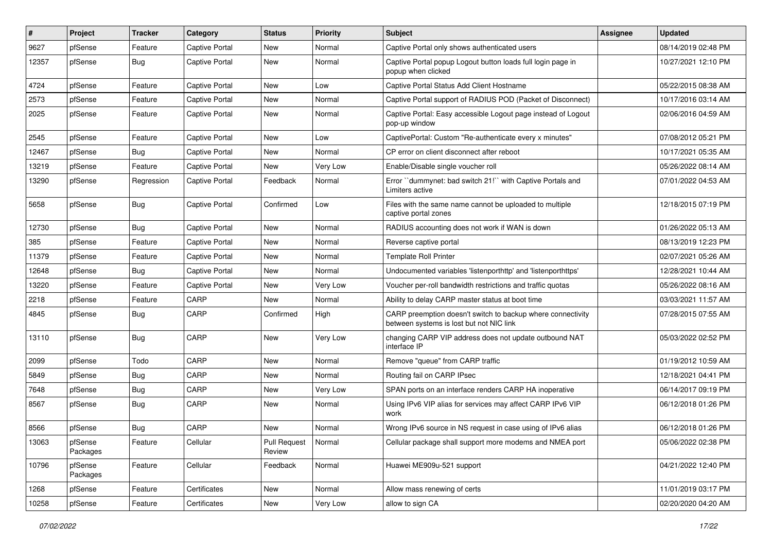| $\vert$ # | Project             | <b>Tracker</b> | Category              | <b>Status</b>                 | <b>Priority</b> | Subject                                                                                                 | <b>Assignee</b> | <b>Updated</b>      |
|-----------|---------------------|----------------|-----------------------|-------------------------------|-----------------|---------------------------------------------------------------------------------------------------------|-----------------|---------------------|
| 9627      | pfSense             | Feature        | Captive Portal        | New                           | Normal          | Captive Portal only shows authenticated users                                                           |                 | 08/14/2019 02:48 PM |
| 12357     | pfSense             | <b>Bug</b>     | <b>Captive Portal</b> | New                           | Normal          | Captive Portal popup Logout button loads full login page in<br>popup when clicked                       |                 | 10/27/2021 12:10 PM |
| 4724      | pfSense             | Feature        | <b>Captive Portal</b> | New                           | Low             | Captive Portal Status Add Client Hostname                                                               |                 | 05/22/2015 08:38 AM |
| 2573      | pfSense             | Feature        | <b>Captive Portal</b> | New                           | Normal          | Captive Portal support of RADIUS POD (Packet of Disconnect)                                             |                 | 10/17/2016 03:14 AM |
| 2025      | pfSense             | Feature        | <b>Captive Portal</b> | New                           | Normal          | Captive Portal: Easy accessible Logout page instead of Logout<br>pop-up window                          |                 | 02/06/2016 04:59 AM |
| 2545      | pfSense             | Feature        | <b>Captive Portal</b> | New                           | Low             | CaptivePortal: Custom "Re-authenticate every x minutes"                                                 |                 | 07/08/2012 05:21 PM |
| 12467     | pfSense             | <b>Bug</b>     | Captive Portal        | New                           | Normal          | CP error on client disconnect after reboot                                                              |                 | 10/17/2021 05:35 AM |
| 13219     | pfSense             | Feature        | <b>Captive Portal</b> | New                           | Very Low        | Enable/Disable single voucher roll                                                                      |                 | 05/26/2022 08:14 AM |
| 13290     | pfSense             | Regression     | <b>Captive Portal</b> | Feedback                      | Normal          | Error "dummynet: bad switch 21!" with Captive Portals and<br>Limiters active                            |                 | 07/01/2022 04:53 AM |
| 5658      | pfSense             | <b>Bug</b>     | Captive Portal        | Confirmed                     | Low             | Files with the same name cannot be uploaded to multiple<br>captive portal zones                         |                 | 12/18/2015 07:19 PM |
| 12730     | pfSense             | Bug            | <b>Captive Portal</b> | New                           | Normal          | RADIUS accounting does not work if WAN is down                                                          |                 | 01/26/2022 05:13 AM |
| 385       | pfSense             | Feature        | <b>Captive Portal</b> | New                           | Normal          | Reverse captive portal                                                                                  |                 | 08/13/2019 12:23 PM |
| 11379     | pfSense             | Feature        | Captive Portal        | New                           | Normal          | <b>Template Roll Printer</b>                                                                            |                 | 02/07/2021 05:26 AM |
| 12648     | pfSense             | <b>Bug</b>     | <b>Captive Portal</b> | New                           | Normal          | Undocumented variables 'listenporthttp' and 'listenporthttps'                                           |                 | 12/28/2021 10:44 AM |
| 13220     | pfSense             | Feature        | <b>Captive Portal</b> | New                           | Very Low        | Voucher per-roll bandwidth restrictions and traffic quotas                                              |                 | 05/26/2022 08:16 AM |
| 2218      | pfSense             | Feature        | CARP                  | New                           | Normal          | Ability to delay CARP master status at boot time                                                        |                 | 03/03/2021 11:57 AM |
| 4845      | pfSense             | <b>Bug</b>     | CARP                  | Confirmed                     | High            | CARP preemption doesn't switch to backup where connectivity<br>between systems is lost but not NIC link |                 | 07/28/2015 07:55 AM |
| 13110     | pfSense             | <b>Bug</b>     | CARP                  | New                           | Very Low        | changing CARP VIP address does not update outbound NAT<br>interface IP                                  |                 | 05/03/2022 02:52 PM |
| 2099      | pfSense             | Todo           | CARP                  | New                           | Normal          | Remove "queue" from CARP traffic                                                                        |                 | 01/19/2012 10:59 AM |
| 5849      | pfSense             | <b>Bug</b>     | CARP                  | New                           | Normal          | Routing fail on CARP IPsec                                                                              |                 | 12/18/2021 04:41 PM |
| 7648      | pfSense             | Bug            | CARP                  | New                           | Very Low        | SPAN ports on an interface renders CARP HA inoperative                                                  |                 | 06/14/2017 09:19 PM |
| 8567      | pfSense             | <b>Bug</b>     | CARP                  | New                           | Normal          | Using IPv6 VIP alias for services may affect CARP IPv6 VIP<br>work                                      |                 | 06/12/2018 01:26 PM |
| 8566      | pfSense             | <b>Bug</b>     | CARP                  | New                           | Normal          | Wrong IPv6 source in NS request in case using of IPv6 alias                                             |                 | 06/12/2018 01:26 PM |
| 13063     | pfSense<br>Packages | Feature        | Cellular              | <b>Pull Request</b><br>Review | Normal          | Cellular package shall support more modems and NMEA port                                                |                 | 05/06/2022 02:38 PM |
| 10796     | pfSense<br>Packages | Feature        | Cellular              | Feedback                      | Normal          | Huawei ME909u-521 support                                                                               |                 | 04/21/2022 12:40 PM |
| 1268      | pfSense             | Feature        | Certificates          | New                           | Normal          | Allow mass renewing of certs                                                                            |                 | 11/01/2019 03:17 PM |
| 10258     | pfSense             | Feature        | Certificates          | New                           | Very Low        | allow to sign CA                                                                                        |                 | 02/20/2020 04:20 AM |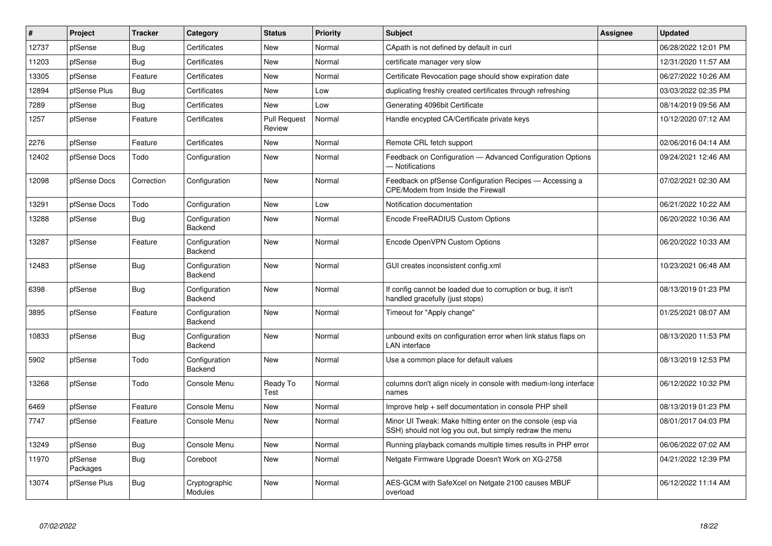| ∦     | Project             | <b>Tracker</b> | Category                 | <b>Status</b>                 | Priority | <b>Subject</b>                                                                                                        | <b>Assignee</b> | <b>Updated</b>      |
|-------|---------------------|----------------|--------------------------|-------------------------------|----------|-----------------------------------------------------------------------------------------------------------------------|-----------------|---------------------|
| 12737 | pfSense             | <b>Bug</b>     | Certificates             | New                           | Normal   | CApath is not defined by default in curl                                                                              |                 | 06/28/2022 12:01 PM |
| 11203 | pfSense             | <b>Bug</b>     | Certificates             | New                           | Normal   | certificate manager very slow                                                                                         |                 | 12/31/2020 11:57 AM |
| 13305 | pfSense             | Feature        | Certificates             | New                           | Normal   | Certificate Revocation page should show expiration date                                                               |                 | 06/27/2022 10:26 AM |
| 12894 | pfSense Plus        | <b>Bug</b>     | Certificates             | New                           | Low      | duplicating freshly created certificates through refreshing                                                           |                 | 03/03/2022 02:35 PM |
| 7289  | pfSense             | Bug            | Certificates             | New                           | Low      | Generating 4096bit Certificate                                                                                        |                 | 08/14/2019 09:56 AM |
| 1257  | pfSense             | Feature        | Certificates             | <b>Pull Request</b><br>Review | Normal   | Handle encypted CA/Certificate private keys                                                                           |                 | 10/12/2020 07:12 AM |
| 2276  | pfSense             | Feature        | Certificates             | New                           | Normal   | Remote CRL fetch support                                                                                              |                 | 02/06/2016 04:14 AM |
| 12402 | pfSense Docs        | Todo           | Configuration            | New                           | Normal   | Feedback on Configuration - Advanced Configuration Options<br>- Notifications                                         |                 | 09/24/2021 12:46 AM |
| 12098 | pfSense Docs        | Correction     | Configuration            | New                           | Normal   | Feedback on pfSense Configuration Recipes - Accessing a<br>CPE/Modem from Inside the Firewall                         |                 | 07/02/2021 02:30 AM |
| 13291 | pfSense Docs        | Todo           | Configuration            | New                           | Low      | Notification documentation                                                                                            |                 | 06/21/2022 10:22 AM |
| 13288 | pfSense             | Bug            | Configuration<br>Backend | New                           | Normal   | Encode FreeRADIUS Custom Options                                                                                      |                 | 06/20/2022 10:36 AM |
| 13287 | pfSense             | Feature        | Configuration<br>Backend | <b>New</b>                    | Normal   | Encode OpenVPN Custom Options                                                                                         |                 | 06/20/2022 10:33 AM |
| 12483 | pfSense             | <b>Bug</b>     | Configuration<br>Backend | <b>New</b>                    | Normal   | GUI creates inconsistent config.xml                                                                                   |                 | 10/23/2021 06:48 AM |
| 6398  | pfSense             | Bug            | Configuration<br>Backend | New                           | Normal   | If config cannot be loaded due to corruption or bug, it isn't<br>handled gracefully (just stops)                      |                 | 08/13/2019 01:23 PM |
| 3895  | pfSense             | Feature        | Configuration<br>Backend | New                           | Normal   | Timeout for "Apply change"                                                                                            |                 | 01/25/2021 08:07 AM |
| 10833 | pfSense             | Bug            | Configuration<br>Backend | New                           | Normal   | unbound exits on configuration error when link status flaps on<br><b>LAN</b> interface                                |                 | 08/13/2020 11:53 PM |
| 5902  | pfSense             | Todo           | Configuration<br>Backend | New                           | Normal   | Use a common place for default values                                                                                 |                 | 08/13/2019 12:53 PM |
| 13268 | pfSense             | Todo           | Console Menu             | Ready To<br>Test              | Normal   | columns don't align nicely in console with medium-long interface<br>names                                             |                 | 06/12/2022 10:32 PM |
| 6469  | pfSense             | Feature        | Console Menu             | New                           | Normal   | Improve help + self documentation in console PHP shell                                                                |                 | 08/13/2019 01:23 PM |
| 7747  | pfSense             | Feature        | Console Menu             | <b>New</b>                    | Normal   | Minor UI Tweak: Make hitting enter on the console (esp via<br>SSH) should not log you out, but simply redraw the menu |                 | 08/01/2017 04:03 PM |
| 13249 | pfSense             | Bug            | Console Menu             | New                           | Normal   | Running playback comands multiple times results in PHP error                                                          |                 | 06/06/2022 07:02 AM |
| 11970 | pfSense<br>Packages | <b>Bug</b>     | Coreboot                 | <b>New</b>                    | Normal   | Netgate Firmware Upgrade Doesn't Work on XG-2758                                                                      |                 | 04/21/2022 12:39 PM |
| 13074 | pfSense Plus        | Bug            | Cryptographic<br>Modules | New                           | Normal   | AES-GCM with SafeXcel on Netgate 2100 causes MBUF<br>overload                                                         |                 | 06/12/2022 11:14 AM |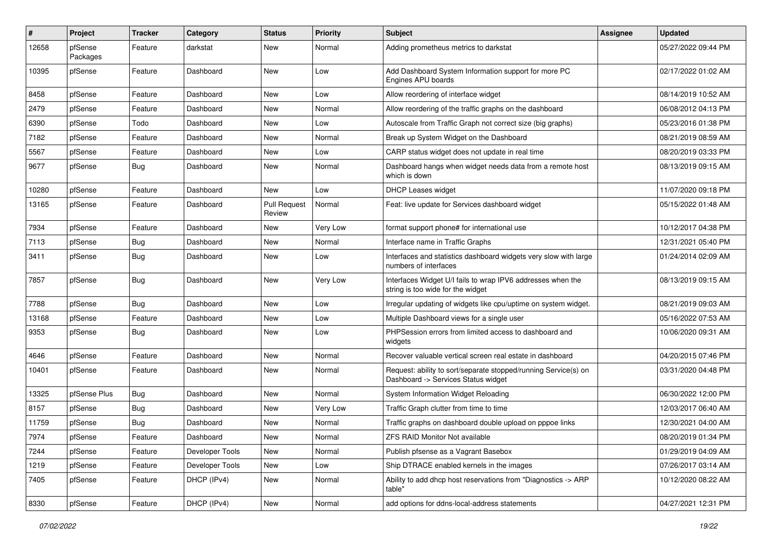| $\pmb{\#}$ | Project             | <b>Tracker</b> | Category        | <b>Status</b>                 | <b>Priority</b> | Subject                                                                                                | Assignee | <b>Updated</b>      |
|------------|---------------------|----------------|-----------------|-------------------------------|-----------------|--------------------------------------------------------------------------------------------------------|----------|---------------------|
| 12658      | pfSense<br>Packages | Feature        | darkstat        | New                           | Normal          | Adding prometheus metrics to darkstat                                                                  |          | 05/27/2022 09:44 PM |
| 10395      | pfSense             | Feature        | Dashboard       | New                           | Low             | Add Dashboard System Information support for more PC<br>Engines APU boards                             |          | 02/17/2022 01:02 AM |
| 8458       | pfSense             | Feature        | Dashboard       | New                           | Low             | Allow reordering of interface widget                                                                   |          | 08/14/2019 10:52 AM |
| 2479       | pfSense             | Feature        | Dashboard       | New                           | Normal          | Allow reordering of the traffic graphs on the dashboard                                                |          | 06/08/2012 04:13 PM |
| 6390       | pfSense             | Todo           | Dashboard       | New                           | Low             | Autoscale from Traffic Graph not correct size (big graphs)                                             |          | 05/23/2016 01:38 PM |
| 7182       | pfSense             | Feature        | Dashboard       | New                           | Normal          | Break up System Widget on the Dashboard                                                                |          | 08/21/2019 08:59 AM |
| 5567       | pfSense             | Feature        | Dashboard       | New                           | Low             | CARP status widget does not update in real time                                                        |          | 08/20/2019 03:33 PM |
| 9677       | pfSense             | <b>Bug</b>     | Dashboard       | New                           | Normal          | Dashboard hangs when widget needs data from a remote host<br>which is down                             |          | 08/13/2019 09:15 AM |
| 10280      | pfSense             | Feature        | Dashboard       | New                           | Low             | <b>DHCP Leases widget</b>                                                                              |          | 11/07/2020 09:18 PM |
| 13165      | pfSense             | Feature        | Dashboard       | <b>Pull Request</b><br>Review | Normal          | Feat: live update for Services dashboard widget                                                        |          | 05/15/2022 01:48 AM |
| 7934       | pfSense             | Feature        | Dashboard       | New                           | Very Low        | format support phone# for international use                                                            |          | 10/12/2017 04:38 PM |
| 7113       | pfSense             | <b>Bug</b>     | Dashboard       | New                           | Normal          | Interface name in Traffic Graphs                                                                       |          | 12/31/2021 05:40 PM |
| 3411       | pfSense             | <b>Bug</b>     | Dashboard       | New                           | Low             | Interfaces and statistics dashboard widgets very slow with large<br>numbers of interfaces              |          | 01/24/2014 02:09 AM |
| 7857       | pfSense             | Bug            | Dashboard       | New                           | Very Low        | Interfaces Widget U/I fails to wrap IPV6 addresses when the<br>string is too wide for the widget       |          | 08/13/2019 09:15 AM |
| 7788       | pfSense             | Bug            | Dashboard       | New                           | Low             | Irregular updating of widgets like cpu/uptime on system widget.                                        |          | 08/21/2019 09:03 AM |
| 13168      | pfSense             | Feature        | Dashboard       | New                           | Low             | Multiple Dashboard views for a single user                                                             |          | 05/16/2022 07:53 AM |
| 9353       | pfSense             | <b>Bug</b>     | Dashboard       | New                           | Low             | PHPSession errors from limited access to dashboard and<br>widgets                                      |          | 10/06/2020 09:31 AM |
| 4646       | pfSense             | Feature        | Dashboard       | New                           | Normal          | Recover valuable vertical screen real estate in dashboard                                              |          | 04/20/2015 07:46 PM |
| 10401      | pfSense             | Feature        | Dashboard       | <b>New</b>                    | Normal          | Request: ability to sort/separate stopped/running Service(s) on<br>Dashboard -> Services Status widget |          | 03/31/2020 04:48 PM |
| 13325      | pfSense Plus        | <b>Bug</b>     | Dashboard       | New                           | Normal          | System Information Widget Reloading                                                                    |          | 06/30/2022 12:00 PM |
| 8157       | pfSense             | Bug            | Dashboard       | New                           | Very Low        | Traffic Graph clutter from time to time                                                                |          | 12/03/2017 06:40 AM |
| 11759      | pfSense             | <b>Bug</b>     | Dashboard       | New                           | Normal          | Traffic graphs on dashboard double upload on pppoe links                                               |          | 12/30/2021 04:00 AM |
| 7974       | pfSense             | Feature        | Dashboard       | New                           | Normal          | ZFS RAID Monitor Not available                                                                         |          | 08/20/2019 01:34 PM |
| 7244       | pfSense             | Feature        | Developer Tools | New                           | Normal          | Publish pfsense as a Vagrant Basebox                                                                   |          | 01/29/2019 04:09 AM |
| 1219       | pfSense             | Feature        | Developer Tools | New                           | Low             | Ship DTRACE enabled kernels in the images                                                              |          | 07/26/2017 03:14 AM |
| 7405       | pfSense             | Feature        | DHCP (IPv4)     | New                           | Normal          | Ability to add dhcp host reservations from "Diagnostics -> ARP<br>table"                               |          | 10/12/2020 08:22 AM |
| 8330       | pfSense             | Feature        | DHCP (IPv4)     | New                           | Normal          | add options for ddns-local-address statements                                                          |          | 04/27/2021 12:31 PM |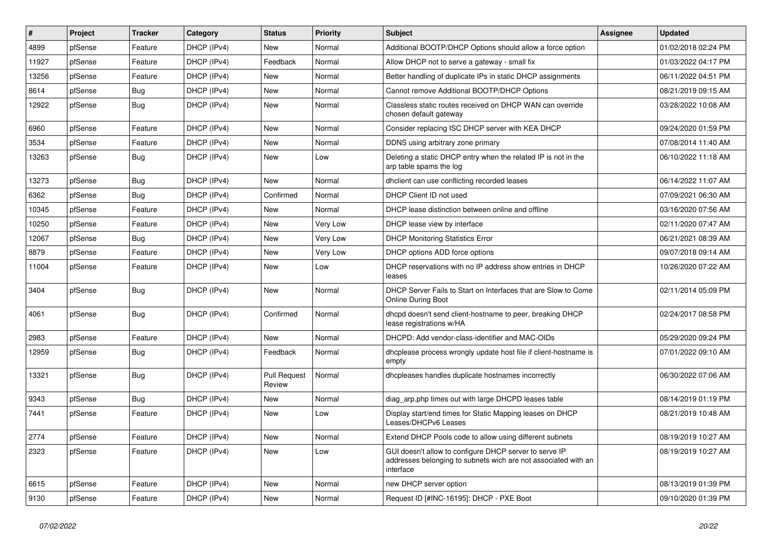| ∦     | Project | <b>Tracker</b> | Category    | <b>Status</b>                 | Priority | <b>Subject</b>                                                                                                                        | Assignee | <b>Updated</b>      |
|-------|---------|----------------|-------------|-------------------------------|----------|---------------------------------------------------------------------------------------------------------------------------------------|----------|---------------------|
| 4899  | pfSense | Feature        | DHCP (IPv4) | New                           | Normal   | Additional BOOTP/DHCP Options should allow a force option                                                                             |          | 01/02/2018 02:24 PM |
| 11927 | pfSense | Feature        | DHCP (IPv4) | Feedback                      | Normal   | Allow DHCP not to serve a gateway - small fix                                                                                         |          | 01/03/2022 04:17 PM |
| 13256 | pfSense | Feature        | DHCP (IPv4) | New                           | Normal   | Better handling of duplicate IPs in static DHCP assignments                                                                           |          | 06/11/2022 04:51 PM |
| 8614  | pfSense | <b>Bug</b>     | DHCP (IPv4) | New                           | Normal   | Cannot remove Additional BOOTP/DHCP Options                                                                                           |          | 08/21/2019 09:15 AM |
| 12922 | pfSense | <b>Bug</b>     | DHCP (IPv4) | New                           | Normal   | Classless static routes received on DHCP WAN can override<br>chosen default gateway                                                   |          | 03/28/2022 10:08 AM |
| 6960  | pfSense | Feature        | DHCP (IPv4) | New                           | Normal   | Consider replacing ISC DHCP server with KEA DHCP                                                                                      |          | 09/24/2020 01:59 PM |
| 3534  | pfSense | Feature        | DHCP (IPv4) | New                           | Normal   | DDNS using arbitrary zone primary                                                                                                     |          | 07/08/2014 11:40 AM |
| 13263 | pfSense | <b>Bug</b>     | DHCP (IPv4) | New                           | Low      | Deleting a static DHCP entry when the related IP is not in the<br>arp table spams the log                                             |          | 06/10/2022 11:18 AM |
| 13273 | pfSense | <b>Bug</b>     | DHCP (IPv4) | New                           | Normal   | dhclient can use conflicting recorded leases                                                                                          |          | 06/14/2022 11:07 AM |
| 6362  | pfSense | <b>Bug</b>     | DHCP (IPv4) | Confirmed                     | Normal   | DHCP Client ID not used                                                                                                               |          | 07/09/2021 06:30 AM |
| 10345 | pfSense | Feature        | DHCP (IPv4) | New                           | Normal   | DHCP lease distinction between online and offline                                                                                     |          | 03/16/2020 07:56 AM |
| 10250 | pfSense | Feature        | DHCP (IPv4) | New                           | Very Low | DHCP lease view by interface                                                                                                          |          | 02/11/2020 07:47 AM |
| 12067 | pfSense | <b>Bug</b>     | DHCP (IPv4) | New                           | Very Low | <b>DHCP Monitoring Statistics Error</b>                                                                                               |          | 06/21/2021 08:39 AM |
| 8879  | pfSense | Feature        | DHCP (IPv4) | New                           | Very Low | DHCP options ADD force options                                                                                                        |          | 09/07/2018 09:14 AM |
| 11004 | pfSense | Feature        | DHCP (IPv4) | New                           | Low      | DHCP reservations with no IP address show entries in DHCP<br>leases                                                                   |          | 10/26/2020 07:22 AM |
| 3404  | pfSense | Bug            | DHCP (IPv4) | New                           | Normal   | DHCP Server Fails to Start on Interfaces that are Slow to Come<br><b>Online During Boot</b>                                           |          | 02/11/2014 05:09 PM |
| 4061  | pfSense | <b>Bug</b>     | DHCP (IPv4) | Confirmed                     | Normal   | dhcpd doesn't send client-hostname to peer, breaking DHCP<br>lease registrations w/HA                                                 |          | 02/24/2017 08:58 PM |
| 2983  | pfSense | Feature        | DHCP (IPv4) | New                           | Normal   | DHCPD: Add vendor-class-identifier and MAC-OIDs                                                                                       |          | 05/29/2020 09:24 PM |
| 12959 | pfSense | <b>Bug</b>     | DHCP (IPv4) | Feedback                      | Normal   | dhcplease process wrongly update host file if client-hostname is<br>empty                                                             |          | 07/01/2022 09:10 AM |
| 13321 | pfSense | Bug            | DHCP (IPv4) | <b>Pull Request</b><br>Review | Normal   | dhcpleases handles duplicate hostnames incorrectly                                                                                    |          | 06/30/2022 07:06 AM |
| 9343  | pfSense | Bug            | DHCP (IPv4) | New                           | Normal   | diag_arp.php times out with large DHCPD leases table                                                                                  |          | 08/14/2019 01:19 PM |
| 7441  | pfSense | Feature        | DHCP (IPv4) | New                           | Low      | Display start/end times for Static Mapping leases on DHCP<br>Leases/DHCPv6 Leases                                                     |          | 08/21/2019 10:48 AM |
| 2774  | pfSense | Feature        | DHCP (IPv4) | New                           | Normal   | Extend DHCP Pools code to allow using different subnets                                                                               |          | 08/19/2019 10:27 AM |
| 2323  | pfSense | Feature        | DHCP (IPv4) | New                           | Low      | GUI doesn't allow to configure DHCP server to serve IP<br>addresses belonging to subnets wich are not associated with an<br>interface |          | 08/19/2019 10:27 AM |
| 6615  | pfSense | Feature        | DHCP (IPv4) | New                           | Normal   | new DHCP server option                                                                                                                |          | 08/13/2019 01:39 PM |
| 9130  | pfSense | Feature        | DHCP (IPv4) | New                           | Normal   | Request ID [#INC-16195]: DHCP - PXE Boot                                                                                              |          | 09/10/2020 01:39 PM |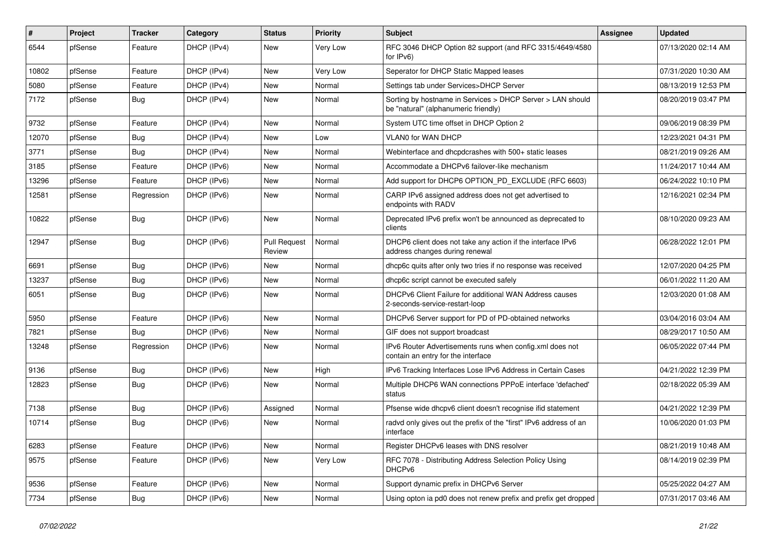| $\vert$ # | Project | <b>Tracker</b> | Category    | <b>Status</b>                 | Priority | <b>Subject</b>                                                                                     | <b>Assignee</b> | <b>Updated</b>      |
|-----------|---------|----------------|-------------|-------------------------------|----------|----------------------------------------------------------------------------------------------------|-----------------|---------------------|
| 6544      | pfSense | Feature        | DHCP (IPv4) | New                           | Very Low | RFC 3046 DHCP Option 82 support (and RFC 3315/4649/4580<br>for IPv6)                               |                 | 07/13/2020 02:14 AM |
| 10802     | pfSense | Feature        | DHCP (IPv4) | New                           | Very Low | Seperator for DHCP Static Mapped leases                                                            |                 | 07/31/2020 10:30 AM |
| 5080      | pfSense | Feature        | DHCP (IPv4) | New                           | Normal   | Settings tab under Services>DHCP Server                                                            |                 | 08/13/2019 12:53 PM |
| 7172      | pfSense | Bug            | DHCP (IPv4) | New                           | Normal   | Sorting by hostname in Services > DHCP Server > LAN should<br>be "natural" (alphanumeric friendly) |                 | 08/20/2019 03:47 PM |
| 9732      | pfSense | Feature        | DHCP (IPv4) | New                           | Normal   | System UTC time offset in DHCP Option 2                                                            |                 | 09/06/2019 08:39 PM |
| 12070     | pfSense | <b>Bug</b>     | DHCP (IPv4) | <b>New</b>                    | Low      | <b>VLANO for WAN DHCP</b>                                                                          |                 | 12/23/2021 04:31 PM |
| 3771      | pfSense | Bug            | DHCP (IPv4) | New                           | Normal   | Webinterface and dhcpdcrashes with 500+ static leases                                              |                 | 08/21/2019 09:26 AM |
| 3185      | pfSense | Feature        | DHCP (IPv6) | New                           | Normal   | Accommodate a DHCPv6 failover-like mechanism                                                       |                 | 11/24/2017 10:44 AM |
| 13296     | pfSense | Feature        | DHCP (IPv6) | New                           | Normal   | Add support for DHCP6 OPTION_PD_EXCLUDE (RFC 6603)                                                 |                 | 06/24/2022 10:10 PM |
| 12581     | pfSense | Regression     | DHCP (IPv6) | New                           | Normal   | CARP IPv6 assigned address does not get advertised to<br>endpoints with RADV                       |                 | 12/16/2021 02:34 PM |
| 10822     | pfSense | Bug            | DHCP (IPv6) | New                           | Normal   | Deprecated IPv6 prefix won't be announced as deprecated to<br>clients                              |                 | 08/10/2020 09:23 AM |
| 12947     | pfSense | <b>Bug</b>     | DHCP (IPv6) | <b>Pull Request</b><br>Review | Normal   | DHCP6 client does not take any action if the interface IPv6<br>address changes during renewal      |                 | 06/28/2022 12:01 PM |
| 6691      | pfSense | <b>Bug</b>     | DHCP (IPv6) | <b>New</b>                    | Normal   | dhcp6c quits after only two tries if no response was received                                      |                 | 12/07/2020 04:25 PM |
| 13237     | pfSense | Bug            | DHCP (IPv6) | New                           | Normal   | dhcp6c script cannot be executed safely                                                            |                 | 06/01/2022 11:20 AM |
| 6051      | pfSense | Bug            | DHCP (IPv6) | New                           | Normal   | DHCPv6 Client Failure for additional WAN Address causes<br>2-seconds-service-restart-loop          |                 | 12/03/2020 01:08 AM |
| 5950      | pfSense | Feature        | DHCP (IPv6) | New                           | Normal   | DHCPv6 Server support for PD of PD-obtained networks                                               |                 | 03/04/2016 03:04 AM |
| 7821      | pfSense | Bug            | DHCP (IPv6) | New                           | Normal   | GIF does not support broadcast                                                                     |                 | 08/29/2017 10:50 AM |
| 13248     | pfSense | Regression     | DHCP (IPv6) | New                           | Normal   | IPv6 Router Advertisements runs when config.xml does not<br>contain an entry for the interface     |                 | 06/05/2022 07:44 PM |
| 9136      | pfSense | <b>Bug</b>     | DHCP (IPv6) | <b>New</b>                    | High     | IPv6 Tracking Interfaces Lose IPv6 Address in Certain Cases                                        |                 | 04/21/2022 12:39 PM |
| 12823     | pfSense | Bug            | DHCP (IPv6) | New                           | Normal   | Multiple DHCP6 WAN connections PPPoE interface 'defached'<br>status                                |                 | 02/18/2022 05:39 AM |
| 7138      | pfSense | <b>Bug</b>     | DHCP (IPv6) | Assigned                      | Normal   | Pfsense wide dhcpv6 client doesn't recognise ifid statement                                        |                 | 04/21/2022 12:39 PM |
| 10714     | pfSense | <b>Bug</b>     | DHCP (IPv6) | New                           | Normal   | radvd only gives out the prefix of the "first" IPv6 address of an<br>interface                     |                 | 10/06/2020 01:03 PM |
| 6283      | pfSense | Feature        | DHCP (IPv6) | New                           | Normal   | Register DHCPv6 leases with DNS resolver                                                           |                 | 08/21/2019 10:48 AM |
| 9575      | pfSense | Feature        | DHCP (IPv6) | New                           | Very Low | RFC 7078 - Distributing Address Selection Policy Using<br>DHCP <sub>v6</sub>                       |                 | 08/14/2019 02:39 PM |
| 9536      | pfSense | Feature        | DHCP (IPv6) | New                           | Normal   | Support dynamic prefix in DHCPv6 Server                                                            |                 | 05/25/2022 04:27 AM |
| 7734      | pfSense | <b>Bug</b>     | DHCP (IPv6) | New                           | Normal   | Using opton ia pd0 does not renew prefix and prefix get dropped                                    |                 | 07/31/2017 03:46 AM |